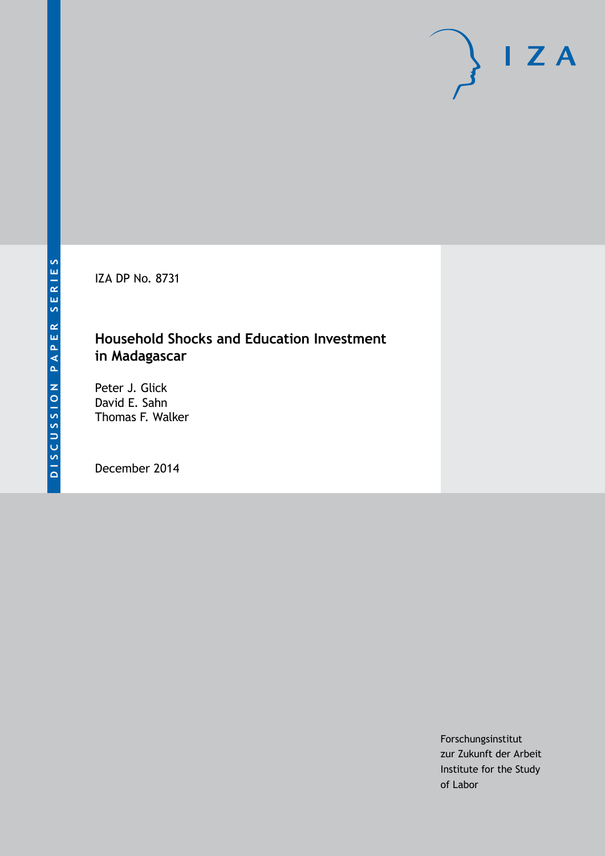IZA DP No. 8731

# **Household Shocks and Education Investment in Madagascar**

Peter J. Glick David E. Sahn Thomas F. Walker

December 2014

Forschungsinstitut zur Zukunft der Arbeit Institute for the Study of Labor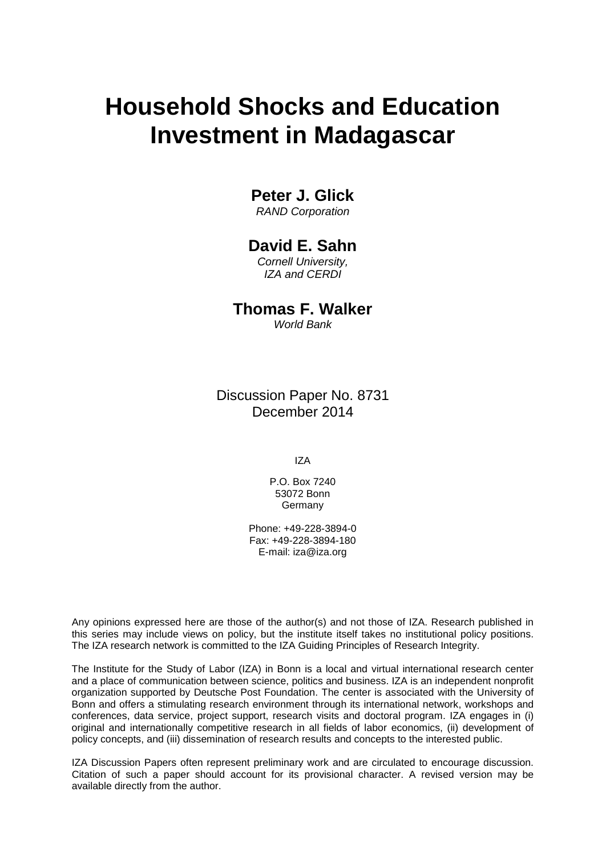# **Household Shocks and Education Investment in Madagascar**

## **Peter J. Glick**

*RAND Corporation*

## **David E. Sahn**

*Cornell University, IZA and CERDI*

**Thomas F. Walker** *World Bank*

Discussion Paper No. 8731 December 2014

IZA

P.O. Box 7240 53072 Bonn **Germany** 

Phone: +49-228-3894-0 Fax: +49-228-3894-180 E-mail: [iza@iza.org](mailto:iza@iza.org)

Any opinions expressed here are those of the author(s) and not those of IZA. Research published in this series may include views on policy, but the institute itself takes no institutional policy positions. The IZA research network is committed to the IZA Guiding Principles of Research Integrity.

The Institute for the Study of Labor (IZA) in Bonn is a local and virtual international research center and a place of communication between science, politics and business. IZA is an independent nonprofit organization supported by Deutsche Post Foundation. The center is associated with the University of Bonn and offers a stimulating research environment through its international network, workshops and conferences, data service, project support, research visits and doctoral program. IZA engages in (i) original and internationally competitive research in all fields of labor economics, (ii) development of policy concepts, and (iii) dissemination of research results and concepts to the interested public.

<span id="page-1-0"></span>IZA Discussion Papers often represent preliminary work and are circulated to encourage discussion. Citation of such a paper should account for its provisional character. A revised version may be available directly from the author.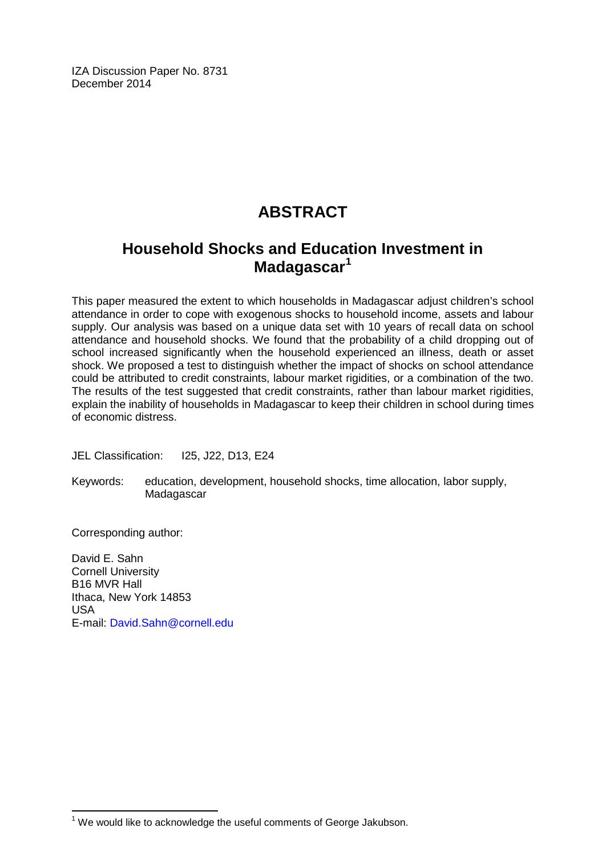IZA Discussion Paper No. 8731 December 2014

# **ABSTRACT**

# **Household Shocks and Education Investment in Madagascar[1](#page-1-0)**

This paper measured the extent to which households in Madagascar adjust children's school attendance in order to cope with exogenous shocks to household income, assets and labour supply. Our analysis was based on a unique data set with 10 years of recall data on school attendance and household shocks. We found that the probability of a child dropping out of school increased significantly when the household experienced an illness, death or asset shock. We proposed a test to distinguish whether the impact of shocks on school attendance could be attributed to credit constraints, labour market rigidities, or a combination of the two. The results of the test suggested that credit constraints, rather than labour market rigidities, explain the inability of households in Madagascar to keep their children in school during times of economic distress.

JEL Classification: I25, J22, D13, E24

Keywords: education, development, household shocks, time allocation, labor supply, Madagascar

Corresponding author:

David E. Sahn Cornell University B16 MVR Hall Ithaca, New York 14853 USA E-mail: [David.Sahn@cornell.edu](mailto:David.Sahn@cornell.edu)

 $1$  We would like to acknowledge the useful comments of George Jakubson.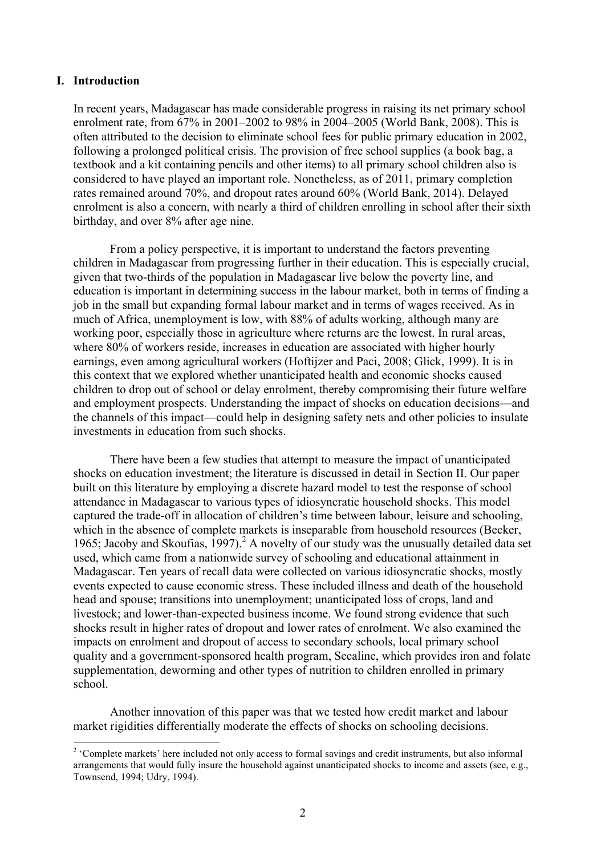#### **I. Introduction**

In recent years, Madagascar has made considerable progress in raising its net primary school enrolment rate, from 67% in 2001–2002 to 98% in 2004–2005 (World Bank, 2008). This is often attributed to the decision to eliminate school fees for public primary education in 2002, following a prolonged political crisis. The provision of free school supplies (a book bag, a textbook and a kit containing pencils and other items) to all primary school children also is considered to have played an important role. Nonetheless, as of 2011, primary completion rates remained around 70%, and dropout rates around 60% (World Bank, 2014). Delayed enrolment is also a concern, with nearly a third of children enrolling in school after their sixth birthday, and over 8% after age nine.

From a policy perspective, it is important to understand the factors preventing children in Madagascar from progressing further in their education. This is especially crucial, given that two-thirds of the population in Madagascar live below the poverty line, and education is important in determining success in the labour market, both in terms of finding a job in the small but expanding formal labour market and in terms of wages received. As in much of Africa, unemployment is low, with 88% of adults working, although many are working poor, especially those in agriculture where returns are the lowest. In rural areas, where 80% of workers reside, increases in education are associated with higher hourly earnings, even among agricultural workers (Hoftijzer and Paci, 2008; Glick, 1999). It is in this context that we explored whether unanticipated health and economic shocks caused children to drop out of school or delay enrolment, thereby compromising their future welfare and employment prospects. Understanding the impact of shocks on education decisions—and the channels of this impact—could help in designing safety nets and other policies to insulate investments in education from such shocks.

There have been a few studies that attempt to measure the impact of unanticipated shocks on education investment; the literature is discussed in detail in Section II. Our paper built on this literature by employing a discrete hazard model to test the response of school attendance in Madagascar to various types of idiosyncratic household shocks. This model captured the trade-off in allocation of children's time between labour, leisure and schooling, which in the absence of complete markets is inseparable from household resources (Becker, 1965; Jacoby and Skoufias,  $1997$ )<sup>2</sup> A novelty of our study was the unusually detailed data set used, which came from a nationwide survey of schooling and educational attainment in Madagascar. Ten years of recall data were collected on various idiosyncratic shocks, mostly events expected to cause economic stress. These included illness and death of the household head and spouse; transitions into unemployment; unanticipated loss of crops, land and livestock; and lower-than-expected business income. We found strong evidence that such shocks result in higher rates of dropout and lower rates of enrolment. We also examined the impacts on enrolment and dropout of access to secondary schools, local primary school quality and a government-sponsored health program, Secaline, which provides iron and folate supplementation, deworming and other types of nutrition to children enrolled in primary school.

Another innovation of this paper was that we tested how credit market and labour market rigidities differentially moderate the effects of shocks on schooling decisions.

<sup>&</sup>lt;sup>2</sup> 'Complete markets' here included not only access to formal savings and credit instruments, but also informal arrangements that would fully insure the household against unanticipated shocks to income and assets (see, e.g., Townsend, 1994; Udry, 1994).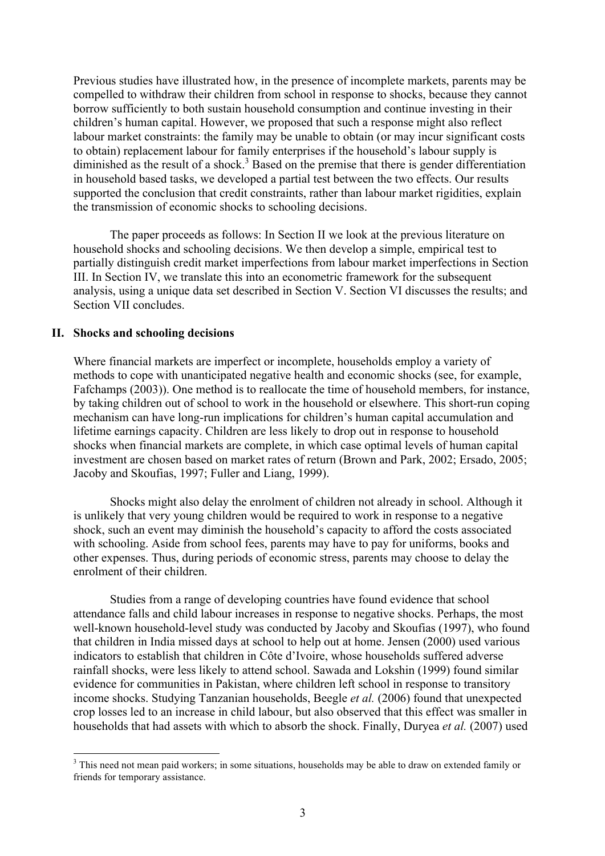Previous studies have illustrated how, in the presence of incomplete markets, parents may be compelled to withdraw their children from school in response to shocks, because they cannot borrow sufficiently to both sustain household consumption and continue investing in their children's human capital. However, we proposed that such a response might also reflect labour market constraints: the family may be unable to obtain (or may incur significant costs to obtain) replacement labour for family enterprises if the household's labour supply is diminished as the result of a shock.<sup>3</sup> Based on the premise that there is gender differentiation in household based tasks, we developed a partial test between the two effects. Our results supported the conclusion that credit constraints, rather than labour market rigidities, explain the transmission of economic shocks to schooling decisions.

The paper proceeds as follows: In Section II we look at the previous literature on household shocks and schooling decisions. We then develop a simple, empirical test to partially distinguish credit market imperfections from labour market imperfections in Section III. In Section IV, we translate this into an econometric framework for the subsequent analysis, using a unique data set described in Section V. Section VI discusses the results; and Section VII concludes.

#### **II. Shocks and schooling decisions**

Where financial markets are imperfect or incomplete, households employ a variety of methods to cope with unanticipated negative health and economic shocks (see, for example, Fafchamps (2003)). One method is to reallocate the time of household members, for instance, by taking children out of school to work in the household or elsewhere. This short-run coping mechanism can have long-run implications for children's human capital accumulation and lifetime earnings capacity. Children are less likely to drop out in response to household shocks when financial markets are complete, in which case optimal levels of human capital investment are chosen based on market rates of return (Brown and Park, 2002; Ersado, 2005; Jacoby and Skoufias, 1997; Fuller and Liang, 1999).

Shocks might also delay the enrolment of children not already in school. Although it is unlikely that very young children would be required to work in response to a negative shock, such an event may diminish the household's capacity to afford the costs associated with schooling. Aside from school fees, parents may have to pay for uniforms, books and other expenses. Thus, during periods of economic stress, parents may choose to delay the enrolment of their children.

Studies from a range of developing countries have found evidence that school attendance falls and child labour increases in response to negative shocks. Perhaps, the most well-known household-level study was conducted by Jacoby and Skoufias (1997), who found that children in India missed days at school to help out at home. Jensen (2000) used various indicators to establish that children in Côte d'Ivoire, whose households suffered adverse rainfall shocks, were less likely to attend school. Sawada and Lokshin (1999) found similar evidence for communities in Pakistan, where children left school in response to transitory income shocks. Studying Tanzanian households, Beegle *et al.* (2006) found that unexpected crop losses led to an increase in child labour, but also observed that this effect was smaller in households that had assets with which to absorb the shock. Finally, Duryea *et al.* (2007) used

<sup>&</sup>lt;sup>3</sup> This need not mean paid workers; in some situations, households may be able to draw on extended family or friends for temporary assistance.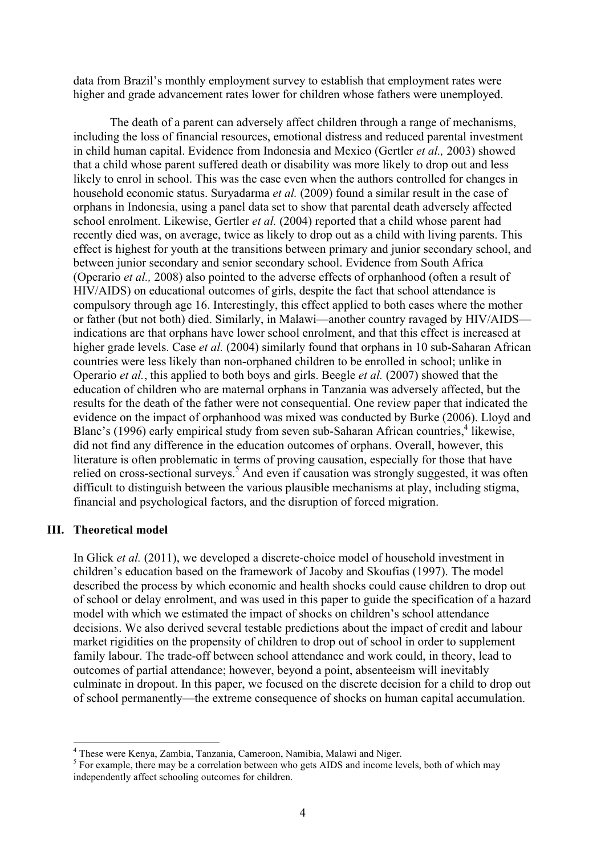data from Brazil's monthly employment survey to establish that employment rates were higher and grade advancement rates lower for children whose fathers were unemployed.

The death of a parent can adversely affect children through a range of mechanisms, including the loss of financial resources, emotional distress and reduced parental investment in child human capital. Evidence from Indonesia and Mexico (Gertler *et al.,* 2003) showed that a child whose parent suffered death or disability was more likely to drop out and less likely to enrol in school. This was the case even when the authors controlled for changes in household economic status. Suryadarma *et al.* (2009) found a similar result in the case of orphans in Indonesia, using a panel data set to show that parental death adversely affected school enrolment. Likewise, Gertler *et al.* (2004) reported that a child whose parent had recently died was, on average, twice as likely to drop out as a child with living parents. This effect is highest for youth at the transitions between primary and junior secondary school, and between junior secondary and senior secondary school. Evidence from South Africa (Operario *et al.,* 2008) also pointed to the adverse effects of orphanhood (often a result of HIV/AIDS) on educational outcomes of girls, despite the fact that school attendance is compulsory through age 16. Interestingly, this effect applied to both cases where the mother or father (but not both) died. Similarly, in Malawi—another country ravaged by HIV/AIDS indications are that orphans have lower school enrolment, and that this effect is increased at higher grade levels. Case *et al.* (2004) similarly found that orphans in 10 sub-Saharan African countries were less likely than non-orphaned children to be enrolled in school; unlike in Operario *et al.*, this applied to both boys and girls. Beegle *et al.* (2007) showed that the education of children who are maternal orphans in Tanzania was adversely affected, but the results for the death of the father were not consequential. One review paper that indicated the evidence on the impact of orphanhood was mixed was conducted by Burke (2006). Lloyd and Blanc's (1996) early empirical study from seven sub-Saharan African countries,<sup>4</sup> likewise, did not find any difference in the education outcomes of orphans. Overall, however, this literature is often problematic in terms of proving causation, especially for those that have relied on cross-sectional surveys.<sup>5</sup> And even if causation was strongly suggested, it was often difficult to distinguish between the various plausible mechanisms at play, including stigma, financial and psychological factors, and the disruption of forced migration.

#### **III. Theoretical model**

In Glick *et al.* (2011), we developed a discrete-choice model of household investment in children's education based on the framework of Jacoby and Skoufias (1997). The model described the process by which economic and health shocks could cause children to drop out of school or delay enrolment, and was used in this paper to guide the specification of a hazard model with which we estimated the impact of shocks on children's school attendance decisions. We also derived several testable predictions about the impact of credit and labour market rigidities on the propensity of children to drop out of school in order to supplement family labour. The trade-off between school attendance and work could, in theory, lead to outcomes of partial attendance; however, beyond a point, absenteeism will inevitably culminate in dropout. In this paper, we focused on the discrete decision for a child to drop out of school permanently—the extreme consequence of shocks on human capital accumulation.

 <sup>4</sup> These were Kenya, Zambia, Tanzania, Cameroon, Namibia, Malawi and Niger.

<sup>&</sup>lt;sup>5</sup> For example, there may be a correlation between who gets AIDS and income levels, both of which may independently affect schooling outcomes for children.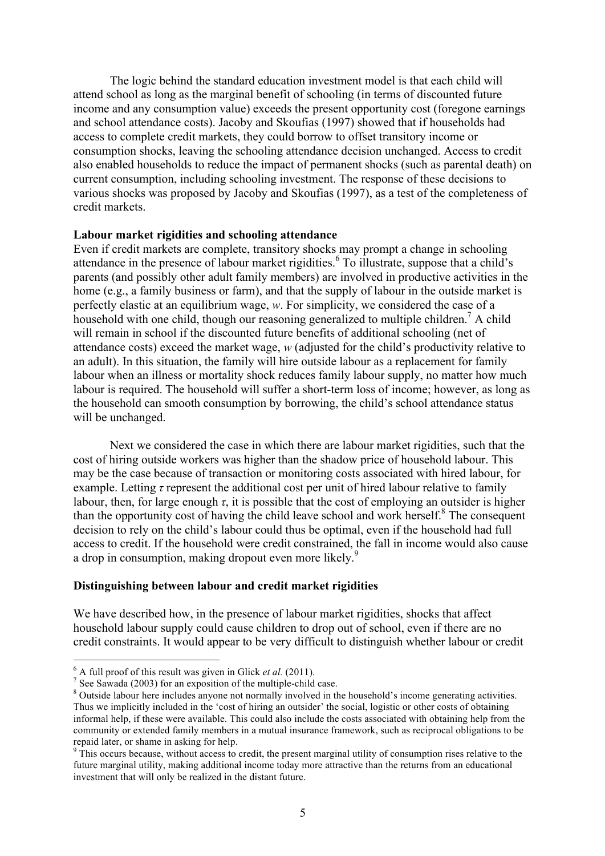The logic behind the standard education investment model is that each child will attend school as long as the marginal benefit of schooling (in terms of discounted future income and any consumption value) exceeds the present opportunity cost (foregone earnings and school attendance costs). Jacoby and Skoufias (1997) showed that if households had access to complete credit markets, they could borrow to offset transitory income or consumption shocks, leaving the schooling attendance decision unchanged. Access to credit also enabled households to reduce the impact of permanent shocks (such as parental death) on current consumption, including schooling investment. The response of these decisions to various shocks was proposed by Jacoby and Skoufias (1997), as a test of the completeness of credit markets.

#### **Labour market rigidities and schooling attendance**

Even if credit markets are complete, transitory shocks may prompt a change in schooling attendance in the presence of labour market rigidities. <sup>6</sup> To illustrate, suppose that a child's parents (and possibly other adult family members) are involved in productive activities in the home (e.g., a family business or farm), and that the supply of labour in the outside market is perfectly elastic at an equilibrium wage, *w*. For simplicity, we considered the case of a household with one child, though our reasoning generalized to multiple children.<sup>7</sup> A child will remain in school if the discounted future benefits of additional schooling (net of attendance costs) exceed the market wage, *w* (adjusted for the child's productivity relative to an adult). In this situation, the family will hire outside labour as a replacement for family labour when an illness or mortality shock reduces family labour supply, no matter how much labour is required. The household will suffer a short-term loss of income; however, as long as the household can smooth consumption by borrowing, the child's school attendance status will be unchanged.

Next we considered the case in which there are labour market rigidities, such that the cost of hiring outside workers was higher than the shadow price of household labour. This may be the case because of transaction or monitoring costs associated with hired labour, for example. Letting *τ* represent the additional cost per unit of hired labour relative to family labour, then, for large enough  $\tau$ , it is possible that the cost of employing an outsider is higher than the opportunity cost of having the child leave school and work herself. $8$ <sup>8</sup> The consequent decision to rely on the child's labour could thus be optimal, even if the household had full access to credit. If the household were credit constrained, the fall in income would also cause a drop in consumption, making dropout even more likely.<sup>9</sup>

#### **Distinguishing between labour and credit market rigidities**

We have described how, in the presence of labour market rigidities, shocks that affect household labour supply could cause children to drop out of school, even if there are no credit constraints. It would appear to be very difficult to distinguish whether labour or credit

<sup>&</sup>lt;sup>6</sup> A full proof of this result was given in Glick *et al.* (2011).<br><sup>7</sup> See Sawada (2003) for an exposition of the multiple-child case.<br><sup>8</sup> Outside labour here includes anyone not normally involved in the household's inco Thus we implicitly included in the 'cost of hiring an outsider' the social, logistic or other costs of obtaining informal help, if these were available. This could also include the costs associated with obtaining help from the community or extended family members in a mutual insurance framework, such as reciprocal obligations to be repaid later, or shame in asking for help.

<sup>&</sup>lt;sup>9</sup> This occurs because, without access to credit, the present marginal utility of consumption rises relative to the future marginal utility, making additional income today more attractive than the returns from an educational investment that will only be realized in the distant future.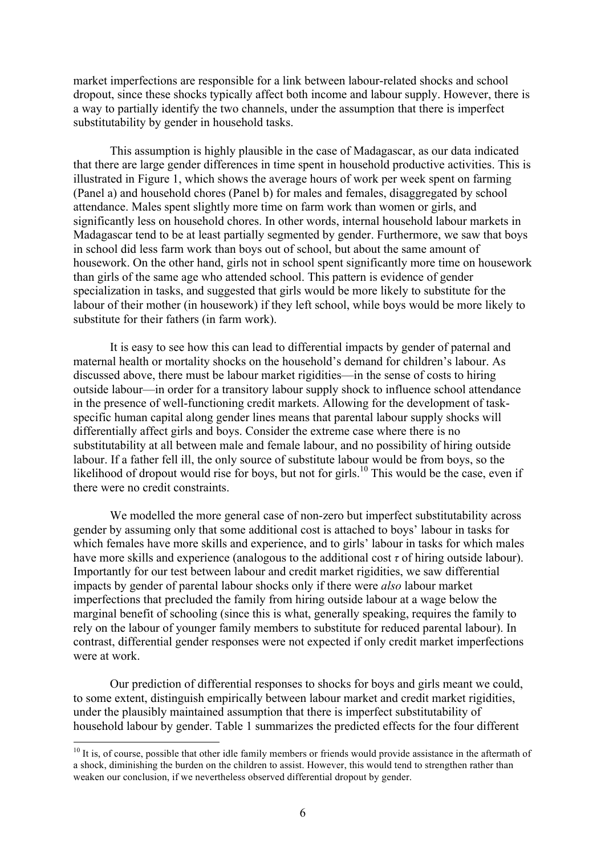market imperfections are responsible for a link between labour-related shocks and school dropout, since these shocks typically affect both income and labour supply. However, there is a way to partially identify the two channels, under the assumption that there is imperfect substitutability by gender in household tasks.

This assumption is highly plausible in the case of Madagascar, as our data indicated that there are large gender differences in time spent in household productive activities. This is illustrated in Figure 1, which shows the average hours of work per week spent on farming (Panel a) and household chores (Panel b) for males and females, disaggregated by school attendance. Males spent slightly more time on farm work than women or girls, and significantly less on household chores. In other words, internal household labour markets in Madagascar tend to be at least partially segmented by gender. Furthermore, we saw that boys in school did less farm work than boys out of school, but about the same amount of housework. On the other hand, girls not in school spent significantly more time on housework than girls of the same age who attended school. This pattern is evidence of gender specialization in tasks, and suggested that girls would be more likely to substitute for the labour of their mother (in housework) if they left school, while boys would be more likely to substitute for their fathers (in farm work).

It is easy to see how this can lead to differential impacts by gender of paternal and maternal health or mortality shocks on the household's demand for children's labour. As discussed above, there must be labour market rigidities—in the sense of costs to hiring outside labour—in order for a transitory labour supply shock to influence school attendance in the presence of well-functioning credit markets. Allowing for the development of taskspecific human capital along gender lines means that parental labour supply shocks will differentially affect girls and boys. Consider the extreme case where there is no substitutability at all between male and female labour, and no possibility of hiring outside labour. If a father fell ill, the only source of substitute labour would be from boys, so the likelihood of dropout would rise for boys, but not for girls.<sup>10</sup> This would be the case, even if there were no credit constraints.

We modelled the more general case of non-zero but imperfect substitutability across gender by assuming only that some additional cost is attached to boys' labour in tasks for which females have more skills and experience, and to girls' labour in tasks for which males have more skills and experience (analogous to the additional cost *τ* of hiring outside labour). Importantly for our test between labour and credit market rigidities, we saw differential impacts by gender of parental labour shocks only if there were *also* labour market imperfections that precluded the family from hiring outside labour at a wage below the marginal benefit of schooling (since this is what, generally speaking, requires the family to rely on the labour of younger family members to substitute for reduced parental labour). In contrast, differential gender responses were not expected if only credit market imperfections were at work.

Our prediction of differential responses to shocks for boys and girls meant we could, to some extent, distinguish empirically between labour market and credit market rigidities, under the plausibly maintained assumption that there is imperfect substitutability of household labour by gender. Table 1 summarizes the predicted effects for the four different

 $10$  It is, of course, possible that other idle family members or friends would provide assistance in the aftermath of a shock, diminishing the burden on the children to assist. However, this would tend to strengthen rather than weaken our conclusion, if we nevertheless observed differential dropout by gender.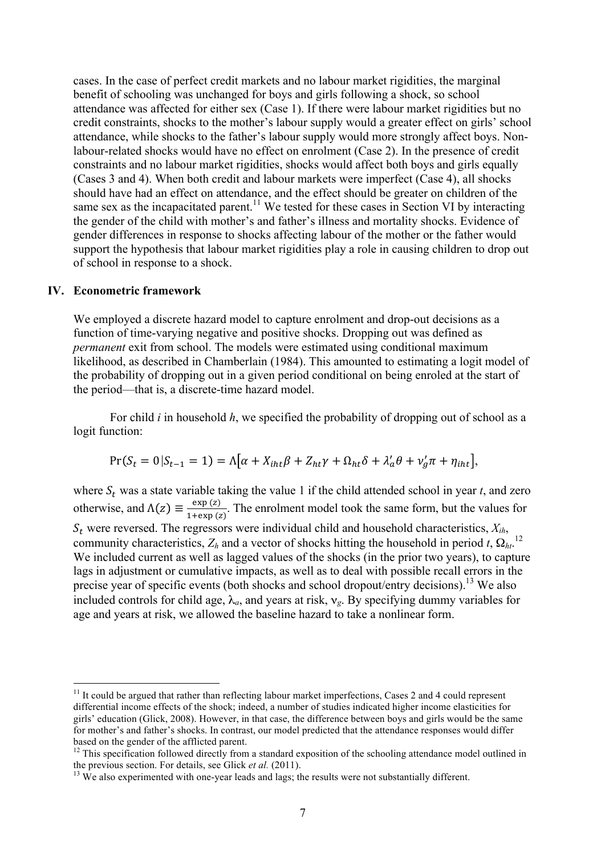cases. In the case of perfect credit markets and no labour market rigidities, the marginal benefit of schooling was unchanged for boys and girls following a shock, so school attendance was affected for either sex (Case 1). If there were labour market rigidities but no credit constraints, shocks to the mother's labour supply would a greater effect on girls' school attendance, while shocks to the father's labour supply would more strongly affect boys. Nonlabour-related shocks would have no effect on enrolment (Case 2). In the presence of credit constraints and no labour market rigidities, shocks would affect both boys and girls equally (Cases 3 and 4). When both credit and labour markets were imperfect (Case 4), all shocks should have had an effect on attendance, and the effect should be greater on children of the same sex as the incapacitated parent.<sup>11</sup> We tested for these cases in Section VI by interacting the gender of the child with mother's and father's illness and mortality shocks. Evidence of gender differences in response to shocks affecting labour of the mother or the father would support the hypothesis that labour market rigidities play a role in causing children to drop out of school in response to a shock.

#### **IV. Econometric framework**

We employed a discrete hazard model to capture enrolment and drop-out decisions as a function of time-varying negative and positive shocks. Dropping out was defined as *permanent* exit from school. The models were estimated using conditional maximum likelihood, as described in Chamberlain (1984). This amounted to estimating a logit model of the probability of dropping out in a given period conditional on being enroled at the start of the period—that is, a discrete-time hazard model.

For child *i* in household *h*, we specified the probability of dropping out of school as a logit function:

$$
Pr(S_t = 0 | S_{t-1} = 1) = \Lambda[\alpha + X_{iht}\beta + Z_{ht}\gamma + \Omega_{ht}\delta + \lambda'_a\theta + \nu'_g\pi + \eta_{int}],
$$

where  $S_t$  was a state variable taking the value 1 if the child attended school in year  $t$ , and zero otherwise, and  $\Lambda(z) \equiv \frac{\exp{(z)}}{1 + \exp{(z)}}$ . The enrolment model took the same form, but the values for  $S_t$  were reversed. The regressors were individual child and household characteristics,  $X_{ih}$ , community characteristics,  $Z_h$  and a vector of shocks hitting the household in period *t*,  $\Omega_{ht}$ <sup>12</sup> We included current as well as lagged values of the shocks (in the prior two years), to capture lags in adjustment or cumulative impacts, as well as to deal with possible recall errors in the precise year of specific events (both shocks and school dropout/entry decisions).<sup>13</sup> We also included controls for child age,  $\lambda_a$ , and years at risk,  $v_g$ . By specifying dummy variables for age and years at risk, we allowed the baseline hazard to take a nonlinear form.

<sup>&</sup>lt;sup>11</sup> It could be argued that rather than reflecting labour market imperfections, Cases 2 and 4 could represent differential income effects of the shock; indeed, a number of studies indicated higher income elasticities for girls' education (Glick, 2008). However, in that case, the difference between boys and girls would be the same for mother's and father's shocks. In contrast, our model predicted that the attendance responses would differ

based on the gender of the afflicted parent.<br><sup>12</sup> This specification followed directly from a standard exposition of the schooling attendance model outlined in<br>the previous section. For details, see Glick *et al.* (2011).

 $t<sup>13</sup>$  We also experimented with one-year leads and lags; the results were not substantially different.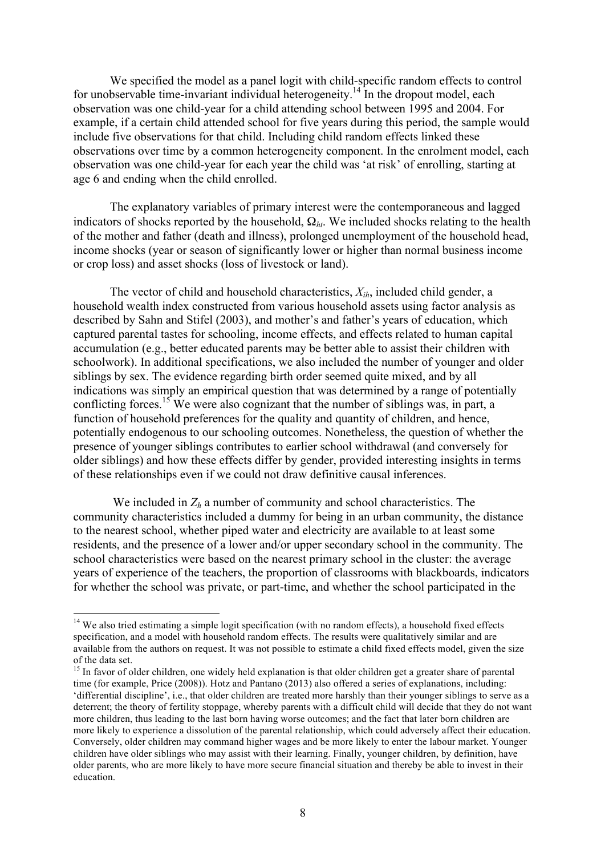We specified the model as a panel logit with child-specific random effects to control for unobservable time-invariant individual heterogeneity.<sup>14</sup> In the dropout model, each observation was one child-year for a child attending school between 1995 and 2004. For example, if a certain child attended school for five years during this period, the sample would include five observations for that child. Including child random effects linked these observations over time by a common heterogeneity component. In the enrolment model, each observation was one child-year for each year the child was 'at risk' of enrolling, starting at age 6 and ending when the child enrolled.

The explanatory variables of primary interest were the contemporaneous and lagged indicators of shocks reported by the household, Ω*ht*. We included shocks relating to the health of the mother and father (death and illness), prolonged unemployment of the household head, income shocks (year or season of significantly lower or higher than normal business income or crop loss) and asset shocks (loss of livestock or land).

The vector of child and household characteristics, *Xih*, included child gender, a household wealth index constructed from various household assets using factor analysis as described by Sahn and Stifel (2003), and mother's and father's years of education, which captured parental tastes for schooling, income effects, and effects related to human capital accumulation (e.g., better educated parents may be better able to assist their children with schoolwork). In additional specifications, we also included the number of younger and older siblings by sex. The evidence regarding birth order seemed quite mixed, and by all indications was simply an empirical question that was determined by a range of potentially conflicting forces.<sup>15</sup> We were also cognizant that the number of siblings was, in part, a function of household preferences for the quality and quantity of children, and hence, potentially endogenous to our schooling outcomes. Nonetheless, the question of whether the presence of younger siblings contributes to earlier school withdrawal (and conversely for older siblings) and how these effects differ by gender, provided interesting insights in terms of these relationships even if we could not draw definitive causal inferences.

We included in  $Z_h$  a number of community and school characteristics. The community characteristics included a dummy for being in an urban community, the distance to the nearest school, whether piped water and electricity are available to at least some residents, and the presence of a lower and/or upper secondary school in the community. The school characteristics were based on the nearest primary school in the cluster: the average years of experience of the teachers, the proportion of classrooms with blackboards, indicators for whether the school was private, or part-time, and whether the school participated in the

<sup>&</sup>lt;sup>14</sup> We also tried estimating a simple logit specification (with no random effects), a household fixed effects specification, and a model with household random effects. The results were qualitatively similar and are available from the authors on request. It was not possible to estimate a child fixed effects model, given the size of the data set.

 $15$  In favor of older children, one widely held explanation is that older children get a greater share of parental time (for example, Price (2008)). Hotz and Pantano (2013) also offered a series of explanations, including: 'differential discipline', i.e., that older children are treated more harshly than their younger siblings to serve as a deterrent; the theory of fertility stoppage, whereby parents with a difficult child will decide that they do not want more children, thus leading to the last born having worse outcomes; and the fact that later born children are more likely to experience a dissolution of the parental relationship, which could adversely affect their education. Conversely, older children may command higher wages and be more likely to enter the labour market. Younger children have older siblings who may assist with their learning. Finally, younger children, by definition, have older parents, who are more likely to have more secure financial situation and thereby be able to invest in their education.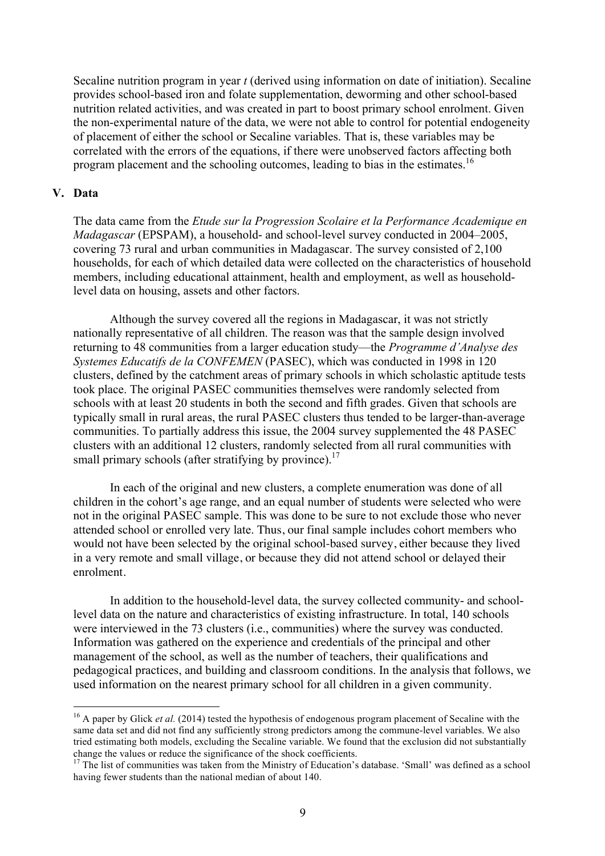Secaline nutrition program in year *t* (derived using information on date of initiation). Secaline provides school-based iron and folate supplementation, deworming and other school-based nutrition related activities, and was created in part to boost primary school enrolment. Given the non-experimental nature of the data, we were not able to control for potential endogeneity of placement of either the school or Secaline variables. That is, these variables may be correlated with the errors of the equations, if there were unobserved factors affecting both program placement and the schooling outcomes, leading to bias in the estimates.<sup>16</sup>

#### **V. Data**

The data came from the *Etude sur la Progression Scolaire et la Performance Academique en Madagascar* (EPSPAM), a household- and school-level survey conducted in 2004–2005, covering 73 rural and urban communities in Madagascar. The survey consisted of 2,100 households, for each of which detailed data were collected on the characteristics of household members, including educational attainment, health and employment, as well as householdlevel data on housing, assets and other factors.

Although the survey covered all the regions in Madagascar, it was not strictly nationally representative of all children. The reason was that the sample design involved returning to 48 communities from a larger education study—the *Programme d'Analyse des Systemes Educatifs de la CONFEMEN* (PASEC), which was conducted in 1998 in 120 clusters, defined by the catchment areas of primary schools in which scholastic aptitude tests took place. The original PASEC communities themselves were randomly selected from schools with at least 20 students in both the second and fifth grades. Given that schools are typically small in rural areas, the rural PASEC clusters thus tended to be larger-than-average communities. To partially address this issue, the 2004 survey supplemented the 48 PASEC clusters with an additional 12 clusters, randomly selected from all rural communities with small primary schools (after stratifying by province).<sup>17</sup>

In each of the original and new clusters, a complete enumeration was done of all children in the cohort's age range, and an equal number of students were selected who were not in the original PASEC sample. This was done to be sure to not exclude those who never attended school or enrolled very late. Thus, our final sample includes cohort members who would not have been selected by the original school-based survey, either because they lived in a very remote and small village, or because they did not attend school or delayed their enrolment.

In addition to the household-level data, the survey collected community- and schoollevel data on the nature and characteristics of existing infrastructure. In total, 140 schools were interviewed in the 73 clusters (i.e., communities) where the survey was conducted. Information was gathered on the experience and credentials of the principal and other management of the school, as well as the number of teachers, their qualifications and pedagogical practices, and building and classroom conditions. In the analysis that follows, we used information on the nearest primary school for all children in a given community.

<sup>&</sup>lt;sup>16</sup> A paper by Glick *et al.* (2014) tested the hypothesis of endogenous program placement of Secaline with the same data set and did not find any sufficiently strong predictors among the commune-level variables. We also tried estimating both models, excluding the Secaline variable. We found that the exclusion did not substantially change the values or reduce the significance of the shock coefficients.

<sup>&</sup>lt;sup>17</sup> The list of communities was taken from the Ministry of Education's database. 'Small' was defined as a school having fewer students than the national median of about 140.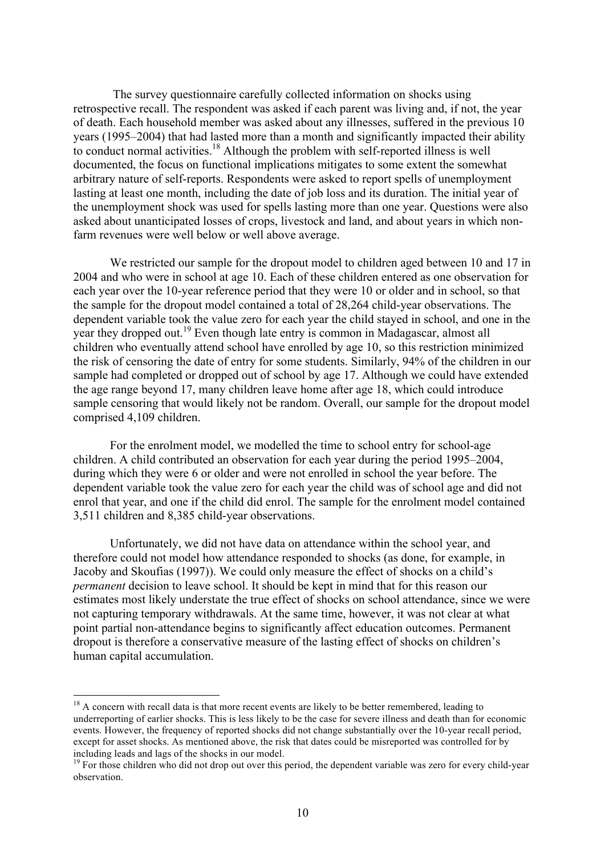The survey questionnaire carefully collected information on shocks using retrospective recall. The respondent was asked if each parent was living and, if not, the year of death. Each household member was asked about any illnesses, suffered in the previous 10 years (1995–2004) that had lasted more than a month and significantly impacted their ability to conduct normal activities.<sup>18</sup> Although the problem with self-reported illness is well documented, the focus on functional implications mitigates to some extent the somewhat arbitrary nature of self-reports. Respondents were asked to report spells of unemployment lasting at least one month, including the date of job loss and its duration. The initial year of the unemployment shock was used for spells lasting more than one year. Questions were also asked about unanticipated losses of crops, livestock and land, and about years in which nonfarm revenues were well below or well above average.

We restricted our sample for the dropout model to children aged between 10 and 17 in 2004 and who were in school at age 10. Each of these children entered as one observation for each year over the 10-year reference period that they were 10 or older and in school, so that the sample for the dropout model contained a total of 28,264 child-year observations. The dependent variable took the value zero for each year the child stayed in school, and one in the year they dropped out.<sup>19</sup> Even though late entry is common in Madagascar, almost all children who eventually attend school have enrolled by age 10, so this restriction minimized the risk of censoring the date of entry for some students. Similarly, 94% of the children in our sample had completed or dropped out of school by age 17. Although we could have extended the age range beyond 17, many children leave home after age 18, which could introduce sample censoring that would likely not be random. Overall, our sample for the dropout model comprised 4,109 children.

For the enrolment model, we modelled the time to school entry for school-age children. A child contributed an observation for each year during the period 1995–2004, during which they were 6 or older and were not enrolled in school the year before. The dependent variable took the value zero for each year the child was of school age and did not enrol that year, and one if the child did enrol. The sample for the enrolment model contained 3,511 children and 8,385 child-year observations.

Unfortunately, we did not have data on attendance within the school year, and therefore could not model how attendance responded to shocks (as done, for example, in Jacoby and Skoufias (1997)). We could only measure the effect of shocks on a child's *permanent* decision to leave school. It should be kept in mind that for this reason our estimates most likely understate the true effect of shocks on school attendance, since we were not capturing temporary withdrawals. At the same time, however, it was not clear at what point partial non-attendance begins to significantly affect education outcomes. Permanent dropout is therefore a conservative measure of the lasting effect of shocks on children's human capital accumulation.

<sup>&</sup>lt;sup>18</sup> A concern with recall data is that more recent events are likely to be better remembered, leading to underreporting of earlier shocks. This is less likely to be the case for severe illness and death than for economic events. However, the frequency of reported shocks did not change substantially over the 10-year recall period, except for asset shocks. As mentioned above, the risk that dates could be misreported was controlled for by including leads and lags of the shocks in our model.

<sup>&</sup>lt;sup>19</sup> For those children who did not drop out over this period, the dependent variable was zero for every child-year observation.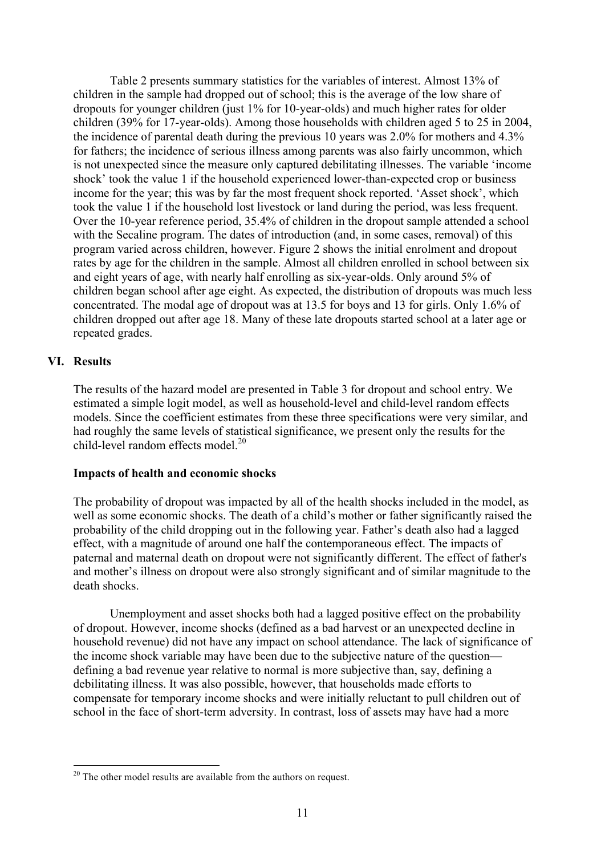Table 2 presents summary statistics for the variables of interest. Almost 13% of children in the sample had dropped out of school; this is the average of the low share of dropouts for younger children (just 1% for 10-year-olds) and much higher rates for older children (39% for 17-year-olds). Among those households with children aged 5 to 25 in 2004, the incidence of parental death during the previous 10 years was 2.0% for mothers and 4.3% for fathers; the incidence of serious illness among parents was also fairly uncommon, which is not unexpected since the measure only captured debilitating illnesses. The variable 'income shock' took the value 1 if the household experienced lower-than-expected crop or business income for the year; this was by far the most frequent shock reported. 'Asset shock', which took the value 1 if the household lost livestock or land during the period, was less frequent. Over the 10-year reference period, 35.4% of children in the dropout sample attended a school with the Secaline program. The dates of introduction (and, in some cases, removal) of this program varied across children, however. Figure 2 shows the initial enrolment and dropout rates by age for the children in the sample. Almost all children enrolled in school between six and eight years of age, with nearly half enrolling as six-year-olds. Only around 5% of children began school after age eight. As expected, the distribution of dropouts was much less concentrated. The modal age of dropout was at 13.5 for boys and 13 for girls. Only 1.6% of children dropped out after age 18. Many of these late dropouts started school at a later age or repeated grades.

#### **VI. Results**

The results of the hazard model are presented in Table 3 for dropout and school entry. We estimated a simple logit model, as well as household-level and child-level random effects models. Since the coefficient estimates from these three specifications were very similar, and had roughly the same levels of statistical significance, we present only the results for the child-level random effects model. 20

#### **Impacts of health and economic shocks**

The probability of dropout was impacted by all of the health shocks included in the model, as well as some economic shocks. The death of a child's mother or father significantly raised the probability of the child dropping out in the following year. Father's death also had a lagged effect, with a magnitude of around one half the contemporaneous effect. The impacts of paternal and maternal death on dropout were not significantly different. The effect of father's and mother's illness on dropout were also strongly significant and of similar magnitude to the death shocks.

Unemployment and asset shocks both had a lagged positive effect on the probability of dropout. However, income shocks (defined as a bad harvest or an unexpected decline in household revenue) did not have any impact on school attendance. The lack of significance of the income shock variable may have been due to the subjective nature of the question defining a bad revenue year relative to normal is more subjective than, say, defining a debilitating illness. It was also possible, however, that households made efforts to compensate for temporary income shocks and were initially reluctant to pull children out of school in the face of short-term adversity. In contrast, loss of assets may have had a more

 $20$  The other model results are available from the authors on request.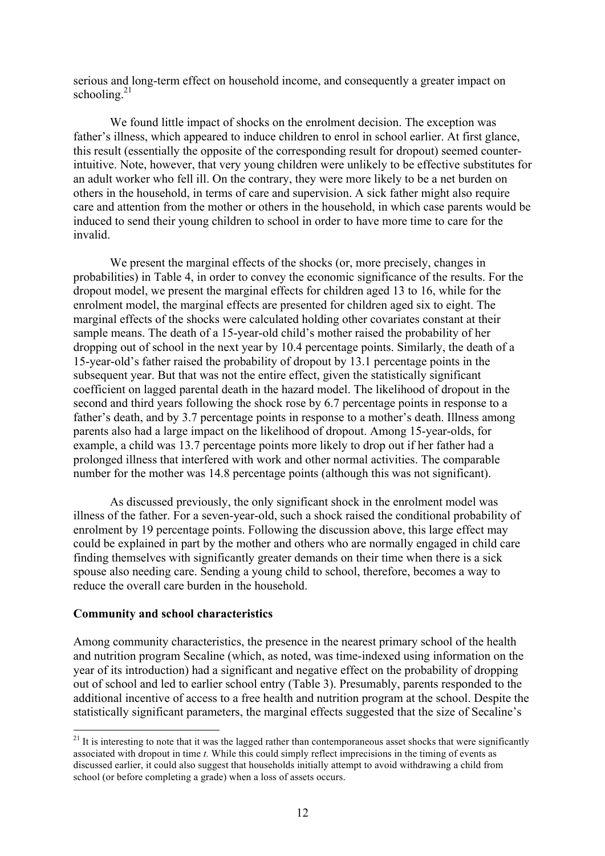serious and long-term effect on household income, and consequently a greater impact on schooling. $21$ 

We found little impact of shocks on the enrolment decision. The exception was father's illness, which appeared to induce children to enrol in school earlier. At first glance, this result (essentially the opposite of the corresponding result for dropout) seemed counterintuitive. Note, however, that very young children were unlikely to be effective substitutes for an adult worker who fell ill. On the contrary, they were more likely to be a net burden on others in the household, in terms of care and supervision. A sick father might also require care and attention from the mother or others in the household, in which case parents would be induced to send their young children to school in order to have more time to care for the invalid.

We present the marginal effects of the shocks (or, more precisely, changes in probabilities) in Table 4, in order to convey the economic significance of the results. For the dropout model, we present the marginal effects for children aged 13 to 16, while for the enrolment model, the marginal effects are presented for children aged six to eight. The marginal effects of the shocks were calculated holding other covariates constant at their sample means. The death of a 15-year-old child's mother raised the probability of her dropping out of school in the next year by 10.4 percentage points. Similarly, the death of a 15-year-old's father raised the probability of dropout by 13.1 percentage points in the subsequent year. But that was not the entire effect, given the statistically significant coefficient on lagged parental death in the hazard model. The likelihood of dropout in the second and third years following the shock rose by 6.7 percentage points in response to a father's death, and by 3.7 percentage points in response to a mother's death. Illness among parents also had a large impact on the likelihood of dropout. Among 15-year-olds, for example, a child was 13.7 percentage points more likely to drop out if her father had a prolonged illness that interfered with work and other normal activities. The comparable number for the mother was 14.8 percentage points (although this was not significant).

As discussed previously, the only significant shock in the enrolment model was illness of the father. For a seven-year-old, such a shock raised the conditional probability of enrolment by 19 percentage points. Following the discussion above, this large effect may could be explained in part by the mother and others who are normally engaged in child care finding themselves with significantly greater demands on their time when there is a sick spouse also needing care. Sending a young child to school, therefore, becomes a way to reduce the overall care burden in the household.

#### **Community and school characteristics**

Among community characteristics, the presence in the nearest primary school of the health and nutrition program Secaline (which, as noted, was time-indexed using information on the year of its introduction) had a significant and negative effect on the probability of dropping out of school and led to earlier school entry (Table 3). Presumably, parents responded to the additional incentive of access to a free health and nutrition program at the school. Despite the statistically significant parameters, the marginal effects suggested that the size of Secaline's

 $21$  It is interesting to note that it was the lagged rather than contemporaneous asset shocks that were significantly associated with dropout in time *t.* While this could simply reflect imprecisions in the timing of events as discussed earlier, it could also suggest that households initially attempt to avoid withdrawing a child from school (or before completing a grade) when a loss of assets occurs.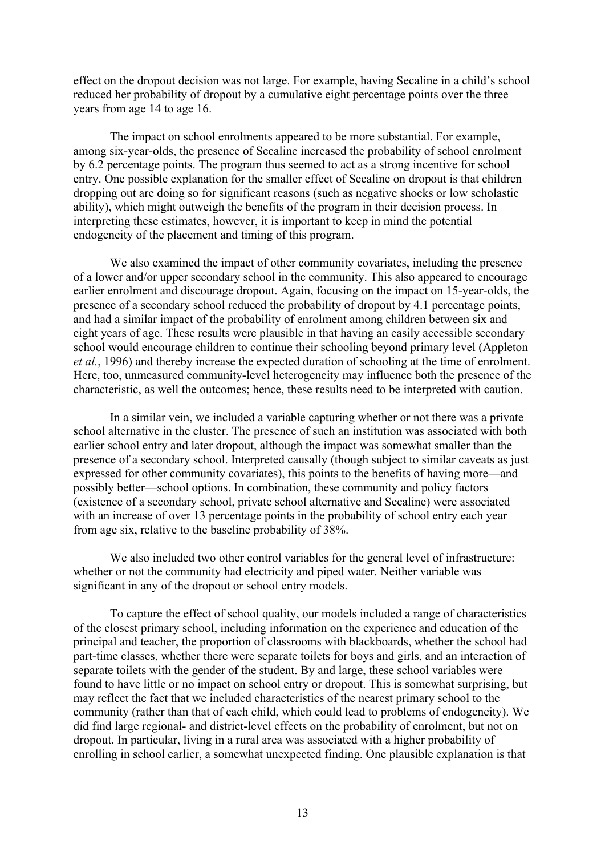effect on the dropout decision was not large. For example, having Secaline in a child's school reduced her probability of dropout by a cumulative eight percentage points over the three years from age 14 to age 16.

The impact on school enrolments appeared to be more substantial. For example, among six-year-olds, the presence of Secaline increased the probability of school enrolment by 6.2 percentage points. The program thus seemed to act as a strong incentive for school entry. One possible explanation for the smaller effect of Secaline on dropout is that children dropping out are doing so for significant reasons (such as negative shocks or low scholastic ability), which might outweigh the benefits of the program in their decision process. In interpreting these estimates, however, it is important to keep in mind the potential endogeneity of the placement and timing of this program.

We also examined the impact of other community covariates, including the presence of a lower and/or upper secondary school in the community. This also appeared to encourage earlier enrolment and discourage dropout. Again, focusing on the impact on 15-year-olds, the presence of a secondary school reduced the probability of dropout by 4.1 percentage points, and had a similar impact of the probability of enrolment among children between six and eight years of age. These results were plausible in that having an easily accessible secondary school would encourage children to continue their schooling beyond primary level (Appleton *et al.*, 1996) and thereby increase the expected duration of schooling at the time of enrolment. Here, too, unmeasured community-level heterogeneity may influence both the presence of the characteristic, as well the outcomes; hence, these results need to be interpreted with caution.

In a similar vein, we included a variable capturing whether or not there was a private school alternative in the cluster. The presence of such an institution was associated with both earlier school entry and later dropout, although the impact was somewhat smaller than the presence of a secondary school. Interpreted causally (though subject to similar caveats as just expressed for other community covariates), this points to the benefits of having more—and possibly better—school options. In combination, these community and policy factors (existence of a secondary school, private school alternative and Secaline) were associated with an increase of over 13 percentage points in the probability of school entry each year from age six, relative to the baseline probability of 38%.

We also included two other control variables for the general level of infrastructure: whether or not the community had electricity and piped water. Neither variable was significant in any of the dropout or school entry models.

To capture the effect of school quality, our models included a range of characteristics of the closest primary school, including information on the experience and education of the principal and teacher, the proportion of classrooms with blackboards, whether the school had part-time classes, whether there were separate toilets for boys and girls, and an interaction of separate toilets with the gender of the student. By and large, these school variables were found to have little or no impact on school entry or dropout. This is somewhat surprising, but may reflect the fact that we included characteristics of the nearest primary school to the community (rather than that of each child, which could lead to problems of endogeneity). We did find large regional- and district-level effects on the probability of enrolment, but not on dropout. In particular, living in a rural area was associated with a higher probability of enrolling in school earlier, a somewhat unexpected finding. One plausible explanation is that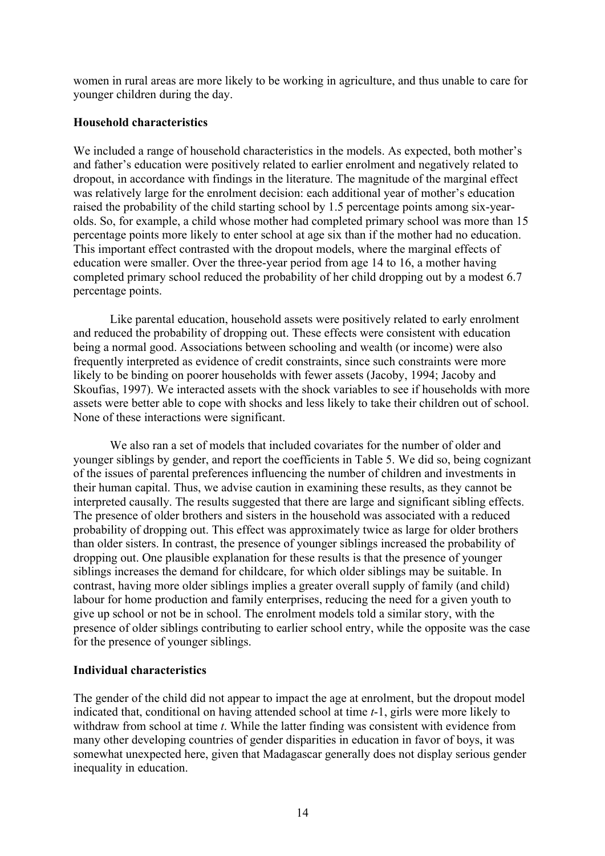women in rural areas are more likely to be working in agriculture, and thus unable to care for younger children during the day.

#### **Household characteristics**

We included a range of household characteristics in the models. As expected, both mother's and father's education were positively related to earlier enrolment and negatively related to dropout, in accordance with findings in the literature. The magnitude of the marginal effect was relatively large for the enrolment decision: each additional year of mother's education raised the probability of the child starting school by 1.5 percentage points among six-yearolds. So, for example, a child whose mother had completed primary school was more than 15 percentage points more likely to enter school at age six than if the mother had no education. This important effect contrasted with the dropout models, where the marginal effects of education were smaller. Over the three-year period from age 14 to 16, a mother having completed primary school reduced the probability of her child dropping out by a modest 6.7 percentage points.

Like parental education, household assets were positively related to early enrolment and reduced the probability of dropping out. These effects were consistent with education being a normal good. Associations between schooling and wealth (or income) were also frequently interpreted as evidence of credit constraints, since such constraints were more likely to be binding on poorer households with fewer assets (Jacoby, 1994; Jacoby and Skoufias, 1997). We interacted assets with the shock variables to see if households with more assets were better able to cope with shocks and less likely to take their children out of school. None of these interactions were significant.

We also ran a set of models that included covariates for the number of older and younger siblings by gender, and report the coefficients in Table 5. We did so, being cognizant of the issues of parental preferences influencing the number of children and investments in their human capital. Thus, we advise caution in examining these results, as they cannot be interpreted causally. The results suggested that there are large and significant sibling effects. The presence of older brothers and sisters in the household was associated with a reduced probability of dropping out. This effect was approximately twice as large for older brothers than older sisters. In contrast, the presence of younger siblings increased the probability of dropping out. One plausible explanation for these results is that the presence of younger siblings increases the demand for childcare, for which older siblings may be suitable. In contrast, having more older siblings implies a greater overall supply of family (and child) labour for home production and family enterprises, reducing the need for a given youth to give up school or not be in school. The enrolment models told a similar story, with the presence of older siblings contributing to earlier school entry, while the opposite was the case for the presence of younger siblings.

#### **Individual characteristics**

The gender of the child did not appear to impact the age at enrolment, but the dropout model indicated that, conditional on having attended school at time *t*-1, girls were more likely to withdraw from school at time *t*. While the latter finding was consistent with evidence from many other developing countries of gender disparities in education in favor of boys, it was somewhat unexpected here, given that Madagascar generally does not display serious gender inequality in education.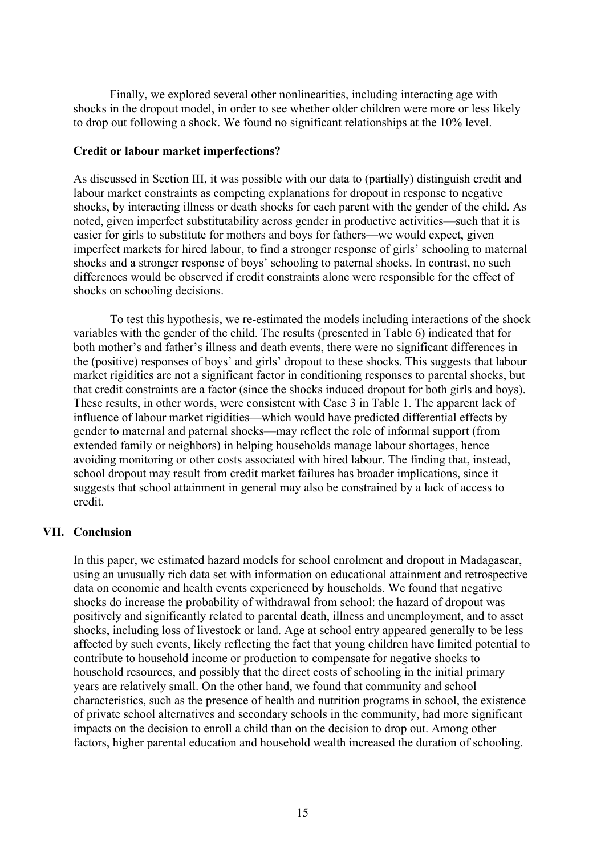Finally, we explored several other nonlinearities, including interacting age with shocks in the dropout model, in order to see whether older children were more or less likely to drop out following a shock. We found no significant relationships at the 10% level.

#### **Credit or labour market imperfections?**

As discussed in Section III, it was possible with our data to (partially) distinguish credit and labour market constraints as competing explanations for dropout in response to negative shocks, by interacting illness or death shocks for each parent with the gender of the child. As noted, given imperfect substitutability across gender in productive activities—such that it is easier for girls to substitute for mothers and boys for fathers—we would expect, given imperfect markets for hired labour, to find a stronger response of girls' schooling to maternal shocks and a stronger response of boys' schooling to paternal shocks. In contrast, no such differences would be observed if credit constraints alone were responsible for the effect of shocks on schooling decisions.

To test this hypothesis, we re-estimated the models including interactions of the shock variables with the gender of the child. The results (presented in Table 6) indicated that for both mother's and father's illness and death events, there were no significant differences in the (positive) responses of boys' and girls' dropout to these shocks. This suggests that labour market rigidities are not a significant factor in conditioning responses to parental shocks, but that credit constraints are a factor (since the shocks induced dropout for both girls and boys). These results, in other words, were consistent with Case 3 in Table 1. The apparent lack of influence of labour market rigidities—which would have predicted differential effects by gender to maternal and paternal shocks—may reflect the role of informal support (from extended family or neighbors) in helping households manage labour shortages, hence avoiding monitoring or other costs associated with hired labour. The finding that, instead, school dropout may result from credit market failures has broader implications, since it suggests that school attainment in general may also be constrained by a lack of access to credit.

#### **VII. Conclusion**

In this paper, we estimated hazard models for school enrolment and dropout in Madagascar, using an unusually rich data set with information on educational attainment and retrospective data on economic and health events experienced by households. We found that negative shocks do increase the probability of withdrawal from school: the hazard of dropout was positively and significantly related to parental death, illness and unemployment, and to asset shocks, including loss of livestock or land. Age at school entry appeared generally to be less affected by such events, likely reflecting the fact that young children have limited potential to contribute to household income or production to compensate for negative shocks to household resources, and possibly that the direct costs of schooling in the initial primary years are relatively small. On the other hand, we found that community and school characteristics, such as the presence of health and nutrition programs in school, the existence of private school alternatives and secondary schools in the community, had more significant impacts on the decision to enroll a child than on the decision to drop out. Among other factors, higher parental education and household wealth increased the duration of schooling.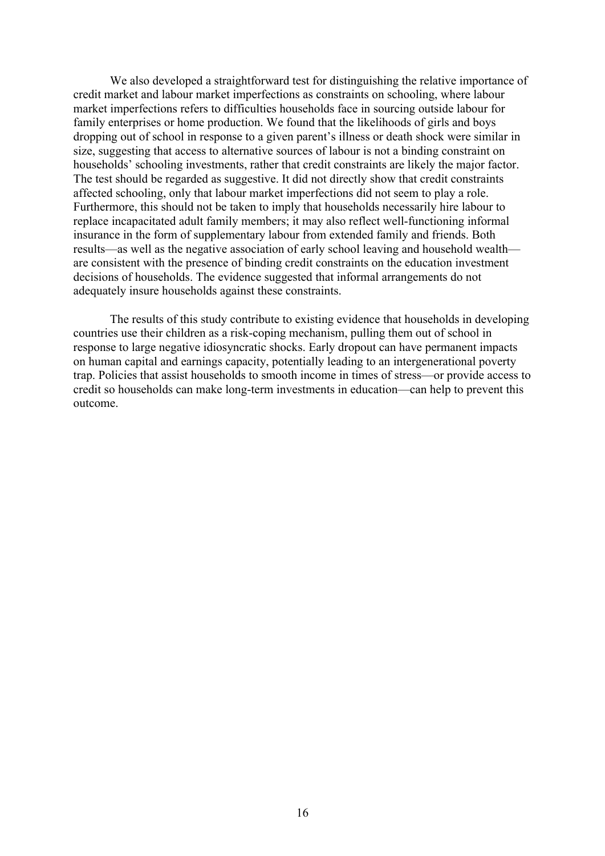We also developed a straightforward test for distinguishing the relative importance of credit market and labour market imperfections as constraints on schooling, where labour market imperfections refers to difficulties households face in sourcing outside labour for family enterprises or home production. We found that the likelihoods of girls and boys dropping out of school in response to a given parent's illness or death shock were similar in size, suggesting that access to alternative sources of labour is not a binding constraint on households' schooling investments, rather that credit constraints are likely the major factor. The test should be regarded as suggestive. It did not directly show that credit constraints affected schooling, only that labour market imperfections did not seem to play a role. Furthermore, this should not be taken to imply that households necessarily hire labour to replace incapacitated adult family members; it may also reflect well-functioning informal insurance in the form of supplementary labour from extended family and friends. Both results—as well as the negative association of early school leaving and household wealth are consistent with the presence of binding credit constraints on the education investment decisions of households. The evidence suggested that informal arrangements do not adequately insure households against these constraints.

The results of this study contribute to existing evidence that households in developing countries use their children as a risk-coping mechanism, pulling them out of school in response to large negative idiosyncratic shocks. Early dropout can have permanent impacts on human capital and earnings capacity, potentially leading to an intergenerational poverty trap. Policies that assist households to smooth income in times of stress—or provide access to credit so households can make long-term investments in education—can help to prevent this outcome.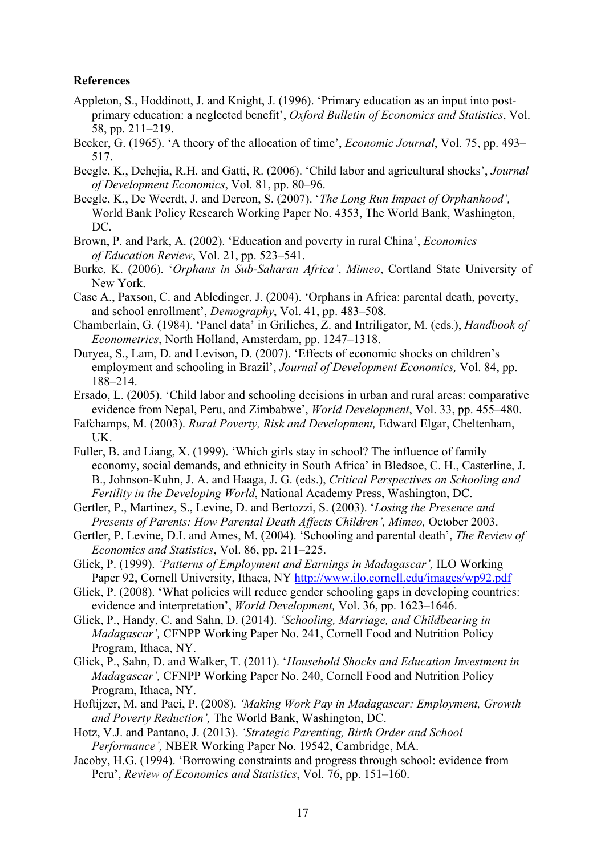#### **References**

- Appleton, S., Hoddinott, J. and Knight, J. (1996). 'Primary education as an input into postprimary education: a neglected benefit', *Oxford Bulletin of Economics and Statistics*, Vol. 58, pp. 211–219.
- Becker, G. (1965). 'A theory of the allocation of time', *Economic Journal*, Vol. 75, pp. 493– 517.

Beegle, K., Dehejia, R.H. and Gatti, R. (2006). 'Child labor and agricultural shocks', *Journal of Development Economics*, Vol. 81, pp. 80–96.

- Beegle, K., De Weerdt, J. and Dercon, S. (2007). '*The Long Run Impact of Orphanhood',* World Bank Policy Research Working Paper No. 4353, The World Bank, Washington, DC.
- Brown, P. and Park, A. (2002). 'Education and poverty in rural China', *Economics of Education Review*, Vol. 21, pp. 523–541.
- Burke, K. (2006). '*Orphans in Sub-Saharan Africa'*, *Mimeo*, Cortland State University of New York.
- Case A., Paxson, C. and Abledinger, J. (2004). 'Orphans in Africa: parental death, poverty, and school enrollment', *Demography*, Vol. 41, pp. 483–508.
- Chamberlain, G. (1984). 'Panel data' in Griliches, Z. and Intriligator, M. (eds.), *Handbook of Econometrics*, North Holland, Amsterdam, pp. 1247–1318.
- Duryea, S., Lam, D. and Levison, D. (2007). 'Effects of economic shocks on children's employment and schooling in Brazil', *Journal of Development Economics,* Vol. 84, pp. 188–214.
- Ersado, L. (2005). 'Child labor and schooling decisions in urban and rural areas: comparative evidence from Nepal, Peru, and Zimbabwe', *World Development*, Vol. 33, pp. 455–480.
- Fafchamps, M. (2003). *Rural Poverty, Risk and Development,* Edward Elgar, Cheltenham, UK.
- Fuller, B. and Liang, X. (1999). 'Which girls stay in school? The influence of family economy, social demands, and ethnicity in South Africa' in Bledsoe, C. H., Casterline, J. B., Johnson-Kuhn, J. A. and Haaga, J. G. (eds.), *Critical Perspectives on Schooling and Fertility in the Developing World*, National Academy Press, Washington, DC.
- Gertler, P., Martinez, S., Levine, D. and Bertozzi, S. (2003). '*Losing the Presence and Presents of Parents: How Parental Death Affects Children', Mimeo,* October 2003.
- Gertler, P. Levine, D.I. and Ames, M. (2004). 'Schooling and parental death', *The Review of Economics and Statistics*, Vol. 86, pp. 211–225.
- Glick, P. (1999). *'Patterns of Employment and Earnings in Madagascar',* ILO Working Paper 92, Cornell University, Ithaca, NY http://www.ilo.cornell.edu/images/wp92.pdf
- Glick, P. (2008). 'What policies will reduce gender schooling gaps in developing countries: evidence and interpretation', *World Development,* Vol. 36, pp. 1623–1646.
- Glick, P., Handy, C. and Sahn, D. (2014). *'Schooling, Marriage, and Childbearing in Madagascar',* CFNPP Working Paper No. 241, Cornell Food and Nutrition Policy Program, Ithaca, NY.
- Glick, P., Sahn, D. and Walker, T. (2011). '*Household Shocks and Education Investment in Madagascar',* CFNPP Working Paper No. 240, Cornell Food and Nutrition Policy Program, Ithaca, NY.
- Hoftijzer, M. and Paci, P. (2008). *'Making Work Pay in Madagascar: Employment, Growth and Poverty Reduction',* The World Bank, Washington, DC.
- Hotz, V.J. and Pantano, J. (2013). *'Strategic Parenting, Birth Order and School Performance',* NBER Working Paper No. 19542, Cambridge, MA.
- Jacoby, H.G. (1994). 'Borrowing constraints and progress through school: evidence from Peru', *Review of Economics and Statistics*, Vol. 76, pp. 151–160.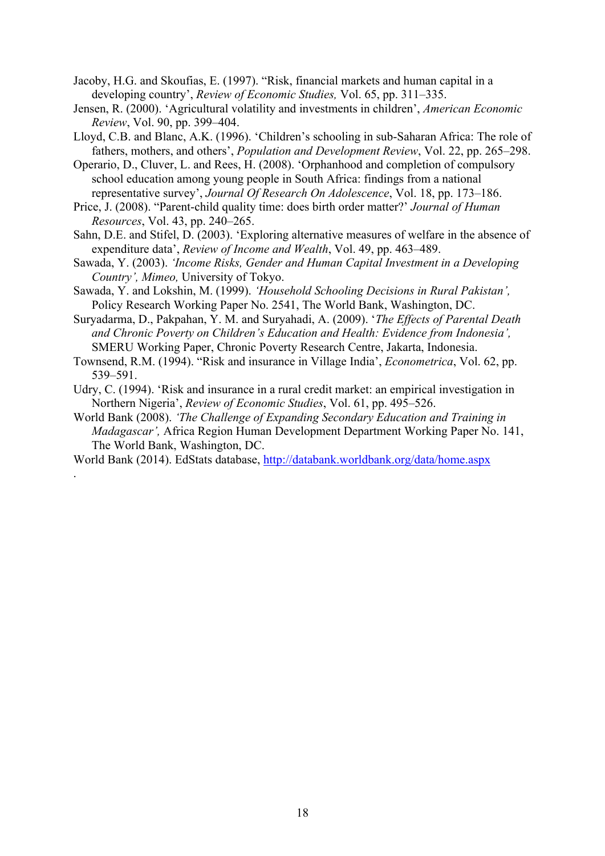- Jacoby, H.G. and Skoufias, E. (1997). "Risk, financial markets and human capital in a developing country', *Review of Economic Studies,* Vol. 65, pp. 311–335.
- Jensen, R. (2000). 'Agricultural volatility and investments in children', *American Economic Review*, Vol. 90, pp. 399–404.
- Lloyd, C.B. and Blanc, A.K. (1996). 'Children's schooling in sub-Saharan Africa: The role of fathers, mothers, and others', *Population and Development Review*, Vol. 22, pp. 265–298.
- Operario, D., Cluver, L. and Rees, H. (2008). 'Orphanhood and completion of compulsory school education among young people in South Africa: findings from a national representative survey', *Journal Of Research On Adolescence*, Vol. 18, pp. 173–186.
- Price, J. (2008). "Parent-child quality time: does birth order matter?' *Journal of Human Resources*, Vol. 43, pp. 240–265.
- Sahn, D.E. and Stifel, D. (2003). 'Exploring alternative measures of welfare in the absence of expenditure data', *Review of Income and Wealth*, Vol. 49, pp. 463–489.
- Sawada, Y. (2003). *'Income Risks, Gender and Human Capital Investment in a Developing Country', Mimeo,* University of Tokyo.
- Sawada, Y. and Lokshin, M. (1999). *'Household Schooling Decisions in Rural Pakistan',* Policy Research Working Paper No. 2541, The World Bank, Washington, DC.
- Suryadarma, D., Pakpahan, Y. M. and Suryahadi, A. (2009). '*The Effects of Parental Death and Chronic Poverty on Children's Education and Health: Evidence from Indonesia',* SMERU Working Paper, Chronic Poverty Research Centre, Jakarta, Indonesia.
- Townsend, R.M. (1994). "Risk and insurance in Village India', *Econometrica*, Vol. 62, pp. 539–591.
- Udry, C. (1994). 'Risk and insurance in a rural credit market: an empirical investigation in Northern Nigeria', *Review of Economic Studies*, Vol. 61, pp. 495–526.
- World Bank (2008). *'The Challenge of Expanding Secondary Education and Training in Madagascar',* Africa Region Human Development Department Working Paper No. 141, The World Bank, Washington, DC.
- World Bank (2014). EdStats database, http://databank.worldbank.org/data/home.aspx

.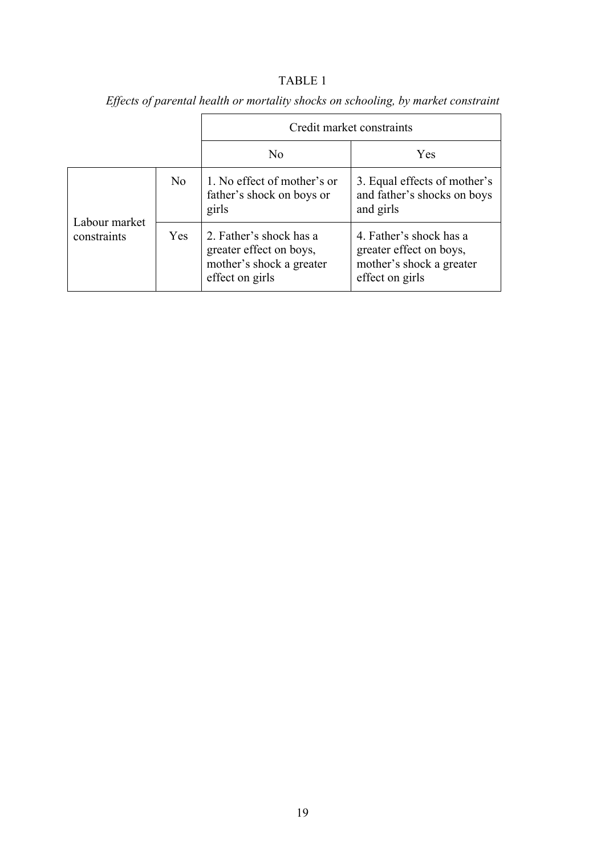### TABLE 1

|                              |            |                                                                                                   | Credit market constraints                                                                         |
|------------------------------|------------|---------------------------------------------------------------------------------------------------|---------------------------------------------------------------------------------------------------|
|                              |            | N <sub>0</sub>                                                                                    | Yes                                                                                               |
| Labour market<br>constraints | No         | 1. No effect of mother's or<br>father's shock on boys or<br>girls                                 | 3. Equal effects of mother's<br>and father's shocks on boys<br>and girls                          |
|                              | <b>Yes</b> | 2. Father's shock has a<br>greater effect on boys,<br>mother's shock a greater<br>effect on girls | 4. Father's shock has a<br>greater effect on boys,<br>mother's shock a greater<br>effect on girls |

*Effects of parental health or mortality shocks on schooling, by market constraint*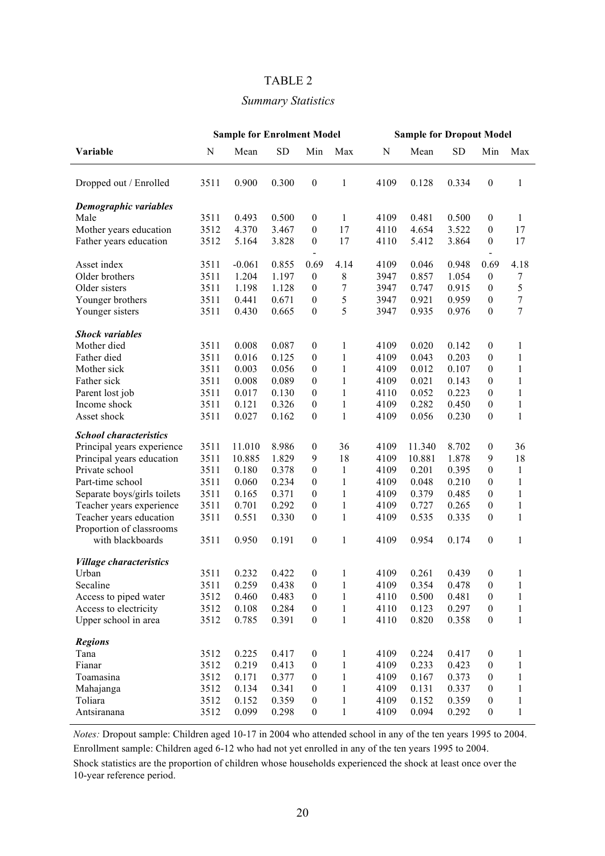#### TABLE 2

#### *Summary Statistics*

|                                                     | <b>Sample for Enrolment Model</b> |          |       |                                  | <b>Sample for Dropout Model</b> |      |        |           |                  |              |
|-----------------------------------------------------|-----------------------------------|----------|-------|----------------------------------|---------------------------------|------|--------|-----------|------------------|--------------|
| Variable                                            | $\mathbf N$                       | Mean     | SD    | Min                              | Max                             | N    | Mean   | <b>SD</b> | Min              | Max          |
| Dropped out / Enrolled                              | 3511                              | 0.900    | 0.300 | $\boldsymbol{0}$                 | 1                               | 4109 | 0.128  | 0.334     | $\boldsymbol{0}$ | 1            |
| Demographic variables                               |                                   |          |       |                                  |                                 |      |        |           |                  |              |
| Male                                                | 3511                              | 0.493    | 0.500 | $\boldsymbol{0}$                 | 1                               | 4109 | 0.481  | 0.500     | $\boldsymbol{0}$ | 1            |
| Mother years education                              | 3512                              | 4.370    | 3.467 | $\boldsymbol{0}$                 | 17                              | 4110 | 4.654  | 3.522     | $\boldsymbol{0}$ | 17           |
| Father years education                              | 3512                              | 5.164    | 3.828 | $\boldsymbol{0}$                 | 17                              | 4110 | 5.412  | 3.864     | $\boldsymbol{0}$ | 17           |
| Asset index                                         | 3511                              | $-0.061$ | 0.855 | $\overline{\phantom{a}}$<br>0.69 | 4.14                            | 4109 | 0.046  | 0.948     | 0.69             | 4.18         |
| Older brothers                                      | 3511                              | 1.204    | 1.197 | $\boldsymbol{0}$                 | 8                               | 3947 | 0.857  | 1.054     | $\boldsymbol{0}$ | 7            |
| Older sisters                                       | 3511                              | 1.198    | 1.128 | $\boldsymbol{0}$                 | 7                               | 3947 | 0.747  | 0.915     | $\boldsymbol{0}$ | 5            |
| Younger brothers                                    | 3511                              | 0.441    | 0.671 | $\boldsymbol{0}$                 | 5                               | 3947 | 0.921  | 0.959     | $\boldsymbol{0}$ | 7            |
| Younger sisters                                     | 3511                              | 0.430    | 0.665 | $\boldsymbol{0}$                 | 5                               | 3947 | 0.935  | 0.976     | $\boldsymbol{0}$ | 7            |
| <b>Shock variables</b>                              |                                   |          |       |                                  |                                 |      |        |           |                  |              |
| Mother died                                         | 3511                              | 0.008    | 0.087 | $\boldsymbol{0}$                 | 1                               | 4109 | 0.020  | 0.142     | $\boldsymbol{0}$ | 1            |
| Father died                                         | 3511                              | 0.016    | 0.125 | $\boldsymbol{0}$                 | $\mathbf{1}$                    | 4109 | 0.043  | 0.203     | $\boldsymbol{0}$ | $\mathbf{1}$ |
| Mother sick                                         | 3511                              | 0.003    | 0.056 | $\boldsymbol{0}$                 | $\mathbf{1}$                    | 4109 | 0.012  | 0.107     | $\boldsymbol{0}$ | 1            |
| Father sick                                         | 3511                              | 0.008    | 0.089 | $\boldsymbol{0}$                 | $\mathbf{1}$                    | 4109 | 0.021  | 0.143     | $\boldsymbol{0}$ | $\mathbf{1}$ |
| Parent lost job                                     | 3511                              | 0.017    | 0.130 | $\theta$                         | $\mathbf{1}$                    | 4110 | 0.052  | 0.223     | $\boldsymbol{0}$ | 1            |
| Income shock                                        | 3511                              | 0.121    | 0.326 | $\theta$                         | 1                               | 4109 | 0.282  | 0.450     | $\boldsymbol{0}$ | 1            |
| Asset shock                                         | 3511                              | 0.027    | 0.162 | $\boldsymbol{0}$                 | $\mathbf{1}$                    | 4109 | 0.056  | 0.230     | $\boldsymbol{0}$ | 1            |
| <b>School characteristics</b>                       |                                   |          |       |                                  |                                 |      |        |           |                  |              |
| Principal years experience                          | 3511                              | 11.010   | 8.986 | $\boldsymbol{0}$                 | 36                              | 4109 | 11.340 | 8.702     | $\boldsymbol{0}$ | 36           |
| Principal years education                           | 3511                              | 10.885   | 1.829 | 9                                | 18                              | 4109 | 10.881 | 1.878     | 9                | 18           |
| Private school                                      | 3511                              | 0.180    | 0.378 | $\boldsymbol{0}$                 | $\mathbf{1}$                    | 4109 | 0.201  | 0.395     | $\boldsymbol{0}$ | $\mathbf{1}$ |
| Part-time school                                    | 3511                              | 0.060    | 0.234 | $\boldsymbol{0}$                 | 1                               | 4109 | 0.048  | 0.210     | $\boldsymbol{0}$ | 1            |
| Separate boys/girls toilets                         | 3511                              | 0.165    | 0.371 | $\boldsymbol{0}$                 | $\mathbf{1}$                    | 4109 | 0.379  | 0.485     | $\boldsymbol{0}$ | 1            |
| Teacher years experience                            | 3511                              | 0.701    | 0.292 | $\boldsymbol{0}$                 | $\mathbf{1}$                    | 4109 | 0.727  | 0.265     | $\boldsymbol{0}$ | 1            |
| Teacher years education<br>Proportion of classrooms | 3511                              | 0.551    | 0.330 | $\boldsymbol{0}$                 | $\mathbf{1}$                    | 4109 | 0.535  | 0.335     | $\boldsymbol{0}$ | 1            |
| with blackboards                                    | 3511                              | 0.950    | 0.191 | $\boldsymbol{0}$                 | 1                               | 4109 | 0.954  | 0.174     | $\boldsymbol{0}$ | 1            |
| <b>Village characteristics</b>                      |                                   |          |       |                                  |                                 |      |        |           |                  |              |
| Urban                                               | 3511                              | 0.232    | 0.422 | $\boldsymbol{0}$                 | 1                               | 4109 | 0.261  | 0.439     | $\boldsymbol{0}$ | 1            |
| Secaline                                            | 3511                              | 0.259    | 0.438 | $\boldsymbol{0}$                 | 1                               | 4109 | 0.354  | 0.478     | $\boldsymbol{0}$ |              |
| Access to piped water                               | 3512                              | 0.460    | 0.483 | $\boldsymbol{0}$                 | 1                               | 4110 | 0.500  | 0.481     | $\boldsymbol{0}$ | 1            |
| Access to electricity                               | 3512                              | 0.108    | 0.284 | $\boldsymbol{0}$                 | $\mathbf{1}$                    | 4110 | 0.123  | 0.297     | $\boldsymbol{0}$ | 1            |
| Upper school in area                                | 3512                              | 0.785    | 0.391 | $\boldsymbol{0}$                 | $\mathbf{1}$                    | 4110 | 0.820  | 0.358     | $\boldsymbol{0}$ | $\mathbf{1}$ |
| <b>Regions</b>                                      |                                   |          |       |                                  |                                 |      |        |           |                  |              |
| Tana                                                | 3512                              | 0.225    | 0.417 | $\boldsymbol{0}$                 | 1                               | 4109 | 0.224  | 0.417     | $\boldsymbol{0}$ | 1            |
| Fianar                                              | 3512                              | 0.219    | 0.413 | $\boldsymbol{0}$                 | $\mathbf{1}$                    | 4109 | 0.233  | 0.423     | $\boldsymbol{0}$ | 1            |
| Toamasina                                           | 3512                              | 0.171    | 0.377 | $\boldsymbol{0}$                 | $\mathbf{1}$                    | 4109 | 0.167  | 0.373     | $\boldsymbol{0}$ | 1            |
| Mahajanga                                           | 3512                              | 0.134    | 0.341 | $\boldsymbol{0}$                 | $\mathbf{1}$                    | 4109 | 0.131  | 0.337     | $\boldsymbol{0}$ | 1            |
| Toliara                                             | 3512                              | 0.152    | 0.359 | $\boldsymbol{0}$                 | $\mathbf{1}$                    | 4109 | 0.152  | 0.359     | $\boldsymbol{0}$ | 1            |
| Antsiranana                                         | 3512                              | 0.099    | 0.298 | $\boldsymbol{0}$                 | $\mathbf{1}$                    | 4109 | 0.094  | 0.292     | $\boldsymbol{0}$ | $\mathbf{1}$ |
|                                                     |                                   |          |       |                                  |                                 |      |        |           |                  |              |

*Notes:* Dropout sample: Children aged 10-17 in 2004 who attended school in any of the ten years 1995 to 2004.

Enrollment sample: Children aged 6-12 who had not yet enrolled in any of the ten years 1995 to 2004.

Shock statistics are the proportion of children whose households experienced the shock at least once over the 10-year reference period.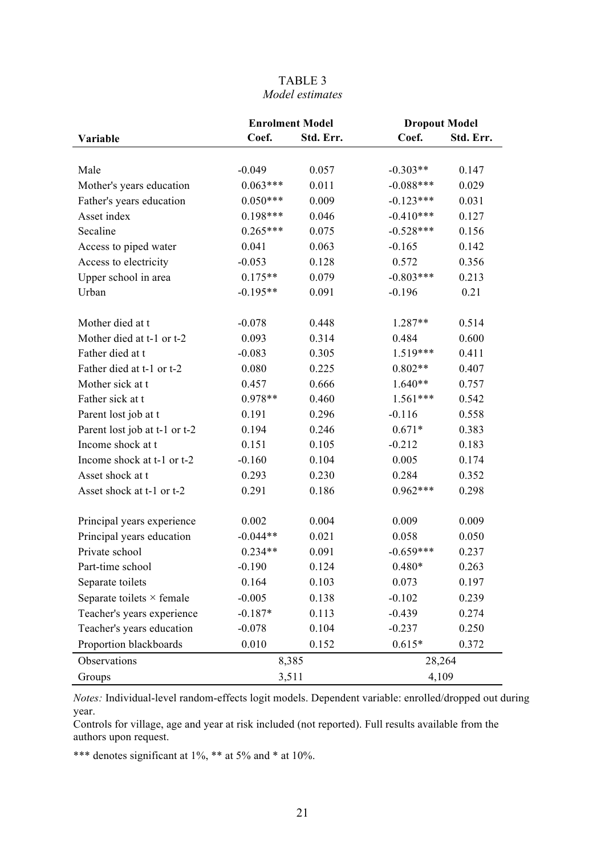#### TABLE 3 *Model estimates*

|                                  | <b>Enrolment Model</b> |           | <b>Dropout Model</b> |           |  |  |
|----------------------------------|------------------------|-----------|----------------------|-----------|--|--|
| Variable                         | Coef.                  | Std. Err. | Coef.                | Std. Err. |  |  |
|                                  |                        |           |                      |           |  |  |
| Male                             | $-0.049$               | 0.057     | $-0.303**$           | 0.147     |  |  |
| Mother's years education         | $0.063***$             | 0.011     | $-0.088***$          | 0.029     |  |  |
| Father's years education         | $0.050***$             | 0.009     | $-0.123***$          | 0.031     |  |  |
| Asset index                      | 0.198***               | 0.046     | $-0.410***$          | 0.127     |  |  |
| Secaline                         | $0.265***$             | 0.075     | $-0.528***$          | 0.156     |  |  |
| Access to piped water            | 0.041                  | 0.063     | $-0.165$             | 0.142     |  |  |
| Access to electricity            | $-0.053$               | 0.128     | 0.572                | 0.356     |  |  |
| Upper school in area             | $0.175**$              | 0.079     | $-0.803***$          | 0.213     |  |  |
| Urban                            | $-0.195**$             | 0.091     | $-0.196$             | 0.21      |  |  |
| Mother died at t                 | $-0.078$               | 0.448     | 1.287**              | 0.514     |  |  |
| Mother died at t-1 or t-2        | 0.093                  | 0.314     | 0.484                | 0.600     |  |  |
| Father died at t                 | $-0.083$               | 0.305     | 1.519***             | 0.411     |  |  |
| Father died at t-1 or t-2        | 0.080                  | 0.225     | $0.802**$            | 0.407     |  |  |
| Mother sick at t                 | 0.457                  | 0.666     | $1.640**$            | 0.757     |  |  |
| Father sick at t                 | $0.978**$              | 0.460     | $1.561***$           | 0.542     |  |  |
| Parent lost job at t             | 0.191                  | 0.296     | $-0.116$             | 0.558     |  |  |
| Parent lost job at t-1 or t-2    | 0.194                  | 0.246     | $0.671*$             | 0.383     |  |  |
| Income shock at t                | 0.151                  | 0.105     | $-0.212$             | 0.183     |  |  |
| Income shock at t-1 or t-2       | $-0.160$               | 0.104     | 0.005                | 0.174     |  |  |
| Asset shock at t                 | 0.293                  | 0.230     | 0.284                | 0.352     |  |  |
| Asset shock at t-1 or t-2        | 0.291                  | 0.186     | $0.962***$           | 0.298     |  |  |
| Principal years experience       | 0.002                  | 0.004     | 0.009                | 0.009     |  |  |
| Principal years education        | $-0.044**$             | 0.021     | 0.058                | 0.050     |  |  |
| Private school                   | $0.234**$              | 0.091     | $-0.659***$          | 0.237     |  |  |
| Part-time school                 | $-0.190$               | 0.124     | $0.480*$             | 0.263     |  |  |
| Separate toilets                 | 0.164                  | 0.103     | 0.073                | 0.197     |  |  |
| Separate toilets $\times$ female | $-0.005$               | 0.138     | $-0.102$             | 0.239     |  |  |
| Teacher's years experience       | $-0.187*$              | 0.113     | $-0.439$             | 0.274     |  |  |
| Teacher's years education        | $-0.078$               | 0.104     | $-0.237$             | 0.250     |  |  |
| Proportion blackboards           | 0.010                  | 0.152     | $0.615*$             | 0.372     |  |  |
| Observations                     | 8,385                  |           | 28,264               |           |  |  |
| Groups                           | 3,511                  |           | 4,109                |           |  |  |

*Notes:* Individual-level random-effects logit models. Dependent variable: enrolled/dropped out during year.

Controls for village, age and year at risk included (not reported). Full results available from the authors upon request.

\*\*\* denotes significant at 1%, \*\* at 5% and \* at 10%.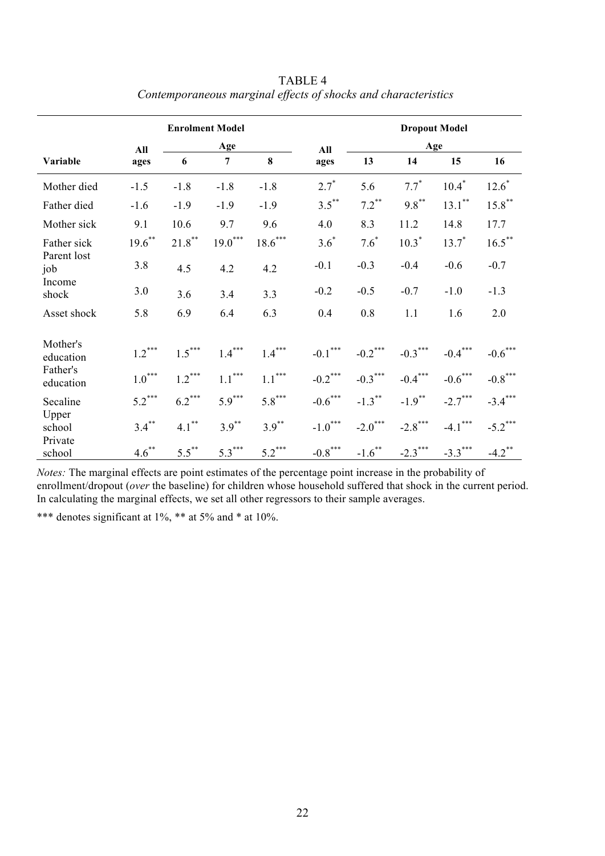|                            | <b>Enrolment Model</b> |           |                |           |            | <b>Dropout Model</b> |            |            |                      |  |
|----------------------------|------------------------|-----------|----------------|-----------|------------|----------------------|------------|------------|----------------------|--|
| All                        |                        | Age       |                |           | All        | Age                  |            |            |                      |  |
| Variable                   | ages                   | 6         | $\overline{7}$ | 8         | ages       | 13                   | 14         | 15         | 16                   |  |
| Mother died                | $-1.5$                 | $-1.8$    | $-1.8$         | $-1.8$    | $2.7^*$    | 5.6                  | $7.7^*$    | $10.4^*$   | $12.6*$              |  |
| Father died                | $-1.6$                 | $-1.9$    | $-1.9$         | $-1.9$    | $3.5***$   | $7.2***$             | $9.8***$   | $13.1***$  | $15.8***$            |  |
| Mother sick                | 9.1                    | 10.6      | 9.7            | 9.6       | 4.0        | 8.3                  | 11.2       | 14.8       | 17.7                 |  |
| Father sick                | $19.6***$              | $21.8***$ | $19.0***$      | $18.6***$ | $3.6*$     | $7.6*$               | $10.3*$    | $13.7^*$   | $16.5***$            |  |
| Parent lost<br>job         | 3.8                    | 4.5       | 4.2            | 4.2       | $-0.1$     | $-0.3$               | $-0.4$     | $-0.6$     | $-0.7$               |  |
| Income<br>shock            | 3.0                    | 3.6       | 3.4            | 3.3       | $-0.2$     | $-0.5$               | $-0.7$     | $-1.0$     | $-1.3$               |  |
| Asset shock                | 5.8                    | 6.9       | 6.4            | 6.3       | 0.4        | 0.8                  | 1.1        | 1.6        | 2.0                  |  |
| Mother's<br>education      | $1.2***$               | $1.5***$  | $1.4***$       | $1.4***$  | $-0.1***$  | $-0.2$ ***           | $-0.3***$  | $-0.4***$  | $-0.6***$            |  |
| Father's<br>education      | $1.0***$               | $1.2***$  | $1.1***$       | $1.1***$  | $-0.2$ *** | $-0.3***$            | $-0.4***$  | $-0.6$ *** | $-0.8$ ***           |  |
| Secaline                   | $5.2***$               | $6.2***$  | $5.9***$       | $5.8***$  | $-0.6$ *** | $-1.3***$            | $-1.9***$  | $-2.7***$  | $-3.4***$            |  |
| Upper<br>school<br>Private | $3.4***$               | $4.1***$  | $3.9***$       | $3.9***$  | $-1.0***$  | $-2.0***$            | $-2.8$ *** | $-4.1$ *** | $-5.2***$            |  |
| school                     | $4.6***$               | $5.5***$  | $5.3***$       | $5.2***$  | $-0.8$ *** | $-1.6***$            | $-2.3$ *** | $-3.3***$  | $-4.2$ <sup>**</sup> |  |

TABLE 4 *Contemporaneous marginal effects of shocks and characteristics*

*Notes:* The marginal effects are point estimates of the percentage point increase in the probability of enrollment/dropout (*over* the baseline) for children whose household suffered that shock in the current period. In calculating the marginal effects, we set all other regressors to their sample averages.

\*\*\* denotes significant at 1%, \*\* at 5% and \* at 10%.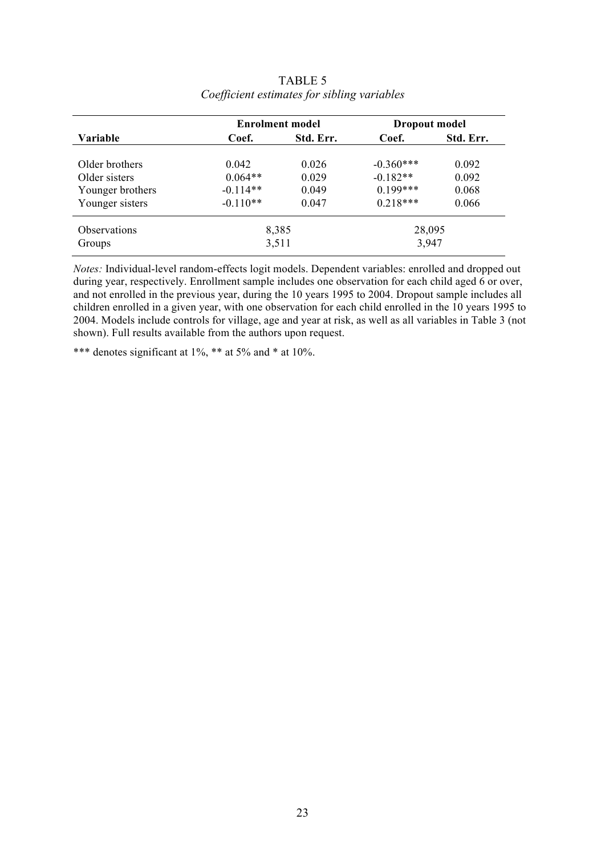|                     |            | <b>Enrolment model</b> | <b>Dropout model</b> |                    |  |
|---------------------|------------|------------------------|----------------------|--------------------|--|
| Variable            | Coef.      | Std. Err.              | Coef.                | Std. Err.<br>0.092 |  |
| Older brothers      | 0.042      | 0.026                  | $-0.360***$          |                    |  |
| Older sisters       | $0.064**$  | 0.029                  | $-0.182**$           | 0.092              |  |
| Younger brothers    | $-0.114**$ | 0.049                  | $0.199***$           | 0.068              |  |
| Younger sisters     | $-0.110**$ | 0.047                  | $0.218***$           | 0.066              |  |
| <b>Observations</b> |            | 8,385                  | 28,095               |                    |  |
| Groups              |            | 3,511                  | 3,947                |                    |  |

TABLE 5 *Coefficient estimates for sibling variables*

*Notes:* Individual-level random-effects logit models. Dependent variables: enrolled and dropped out during year, respectively. Enrollment sample includes one observation for each child aged 6 or over, and not enrolled in the previous year, during the 10 years 1995 to 2004. Dropout sample includes all children enrolled in a given year, with one observation for each child enrolled in the 10 years 1995 to 2004. Models include controls for village, age and year at risk, as well as all variables in Table 3 (not shown). Full results available from the authors upon request.

\*\*\* denotes significant at  $1\%$ , \*\* at  $5\%$  and \* at  $10\%$ .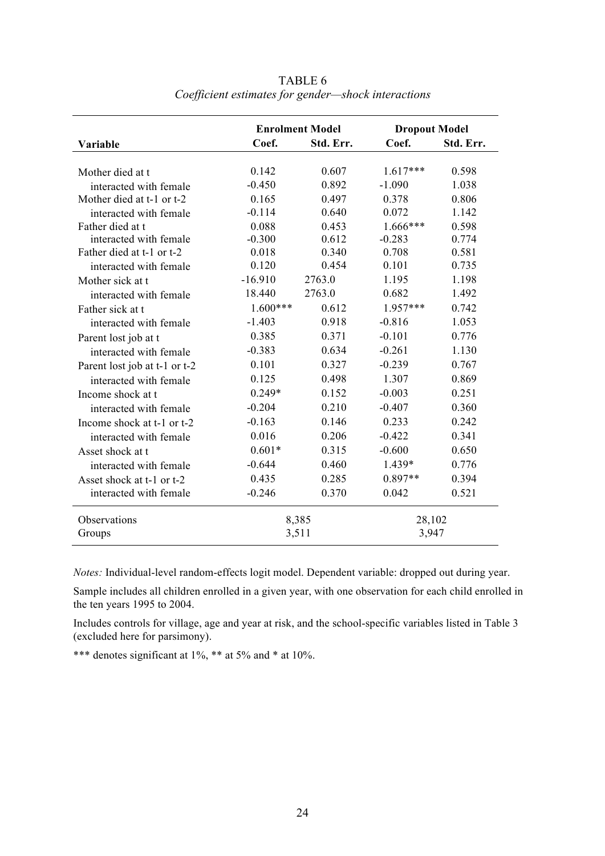|                               |            | <b>Enrolment Model</b> | <b>Dropout Model</b> |           |  |  |
|-------------------------------|------------|------------------------|----------------------|-----------|--|--|
| Variable                      | Coef.      | Std. Err.              | Coef.                | Std. Err. |  |  |
|                               |            |                        |                      |           |  |  |
| Mother died at t              | 0.142      | 0.607                  | $1.617***$           | 0.598     |  |  |
| interacted with female        | $-0.450$   | 0.892                  | $-1.090$             | 1.038     |  |  |
| Mother died at t-1 or t-2     | 0.165      | 0.497                  | 0.378                | 0.806     |  |  |
| interacted with female        | $-0.114$   | 0.640                  | 0.072                | 1.142     |  |  |
| Father died at t              | 0.088      | 0.453                  | $1.666***$           | 0.598     |  |  |
| interacted with female        | $-0.300$   | 0.612                  | $-0.283$             | 0.774     |  |  |
| Father died at t-1 or t-2     | 0.018      | 0.340                  | 0.708                | 0.581     |  |  |
| interacted with female        | 0.120      | 0.454                  | 0.101                | 0.735     |  |  |
| Mother sick at t              | $-16.910$  | 2763.0                 | 1.195                | 1.198     |  |  |
| interacted with female        | 18.440     | 2763.0                 | 0.682                | 1.492     |  |  |
| Father sick at t              | $1.600***$ | 0.612                  | $1.957***$           | 0.742     |  |  |
| interacted with female        | $-1.403$   | 0.918                  | $-0.816$             | 1.053     |  |  |
| Parent lost job at t          | 0.385      | 0.371                  | $-0.101$             | 0.776     |  |  |
| interacted with female        | $-0.383$   | 0.634                  | $-0.261$             | 1.130     |  |  |
| Parent lost job at t-1 or t-2 | 0.101      | 0.327                  | $-0.239$             | 0.767     |  |  |
| interacted with female        | 0.125      | 0.498                  | 1.307                | 0.869     |  |  |
| Income shock at t             | $0.249*$   | 0.152                  | $-0.003$             | 0.251     |  |  |
| interacted with female        | $-0.204$   | 0.210                  | $-0.407$             | 0.360     |  |  |
| Income shock at t-1 or t-2    | $-0.163$   | 0.146                  | 0.233                | 0.242     |  |  |
| interacted with female        | 0.016      | 0.206                  | $-0.422$             | 0.341     |  |  |
| Asset shock at t              | $0.601*$   | 0.315                  | $-0.600$             | 0.650     |  |  |
| interacted with female        | $-0.644$   | 0.460                  | 1.439*               | 0.776     |  |  |
| Asset shock at t-1 or t-2     | 0.435      | 0.285                  | $0.897**$            | 0.394     |  |  |
| interacted with female        | $-0.246$   | 0.370                  | 0.042                | 0.521     |  |  |
| Observations                  |            | 8,385                  | 28,102               |           |  |  |
| Groups                        |            | 3,511                  | 3,947                |           |  |  |

TABLE 6 *Coefficient estimates for gender—shock interactions*

*Notes:* Individual-level random-effects logit model. Dependent variable: dropped out during year.

Sample includes all children enrolled in a given year, with one observation for each child enrolled in the ten years 1995 to 2004.

Includes controls for village, age and year at risk, and the school-specific variables listed in Table 3 (excluded here for parsimony).

\*\*\* denotes significant at 1%, \*\* at 5% and \* at 10%.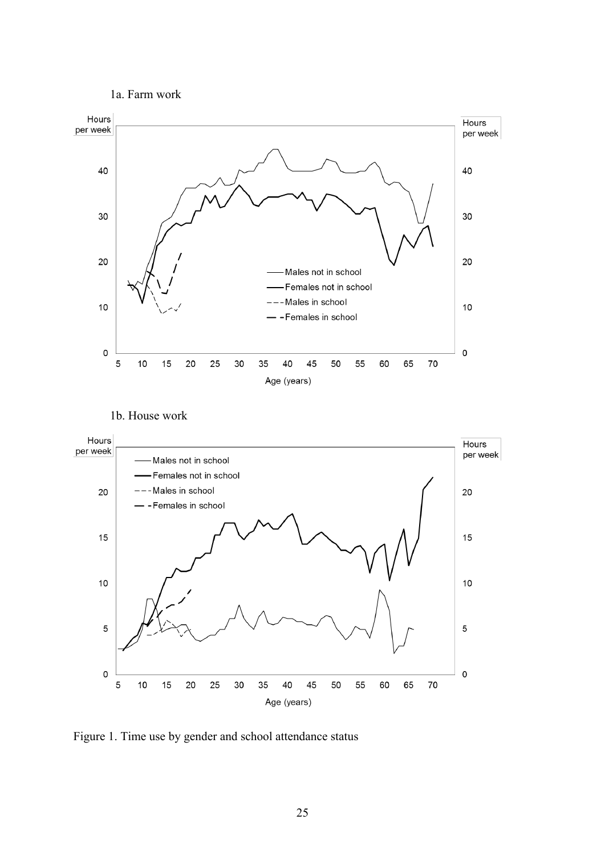1a. Farm work



1b. House work



Figure 1. Time use by gender and school attendance status